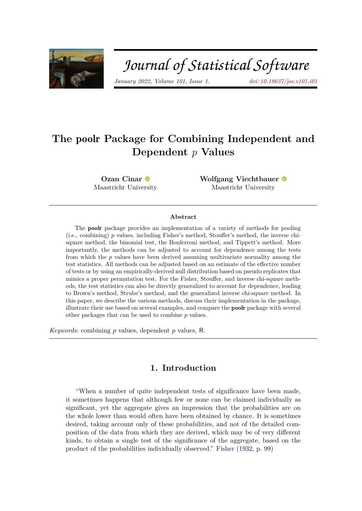

# Journal of Statistical Software

*January 2022, Volume 101, Issue 1. [doi: 10.18637/jss.v101.i01](https://doi.org/10.18637/jss.v101.i01)*

# **The** poolr **Package for Combining Independent and Dependent** *p* **Values**

**Ozan Cinar** Maastricht Unive[rsi](https://orcid.org/0000-0003-0329-1977)ty

**Wolfgang Viechtbauer** Maastricht University

#### **Abstract**

The poolr package provides an implementation of a variety of methods for pooling (i.e., combining) *p* values, including Fisher's method, Stouffer's method, the inverse chisquare method, the binomial test, the Bonferroni method, and Tippett's method. More importantly, the methods can be adjusted to account for dependence among the tests from which the *p* values have been derived assuming multivariate normality among the test statistics. All methods can be adjusted based on an estimate of the effective number of tests or by using an empirically-derived null distribution based on pseudo replicates that mimics a proper permutation test. For the Fisher, Stouffer, and inverse chi-square methods, the test statistics can also be directly generalized to account for dependence, leading to Brown's method, Strube's method, and the generalized inverse chi-square method. In this paper, we describe the various methods, discuss their implementation in the package, illustrate their use based on several examples, and compare the poolr package with several other packages that can be used to combine *p* values.

*Keywords*: combining *p* values, dependent *p* values, R.

# **1. Introduction**

"When a number of quite independent tests of significance have been made, it sometimes happens that although few or none can be claimed individually as significant, yet the aggregate gives an impression that the probabilities are on the whole lower than would often have been obtained by chance. It is sometimes desired, taking account only of these probabilities, and not of the detailed composition of the data from which they are derived, which may be of very different kinds, to obtain a single test of the significance of the aggregate, based on the product of the probabilities individually observed." [Fisher](#page-37-0) [\(1932,](#page-37-0) p. 99)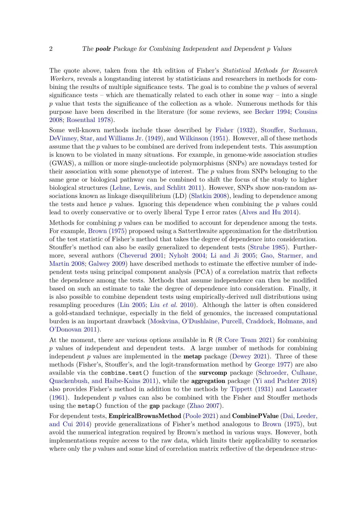The quote above, taken from the 4th edition of Fisher's *Statistical Methods for Research Workers*, reveals a longstanding interest by statisticians and researchers in methods for combining the results of multiple significance tests. The goal is to combine the *p* values of several significance tests – which are thematically related to each other in some way – into a single *p* value that tests the significance of the collection as a whole. Numerous methods for this purpose have been described in the literature (for some reviews, see [Becker](#page-36-0) [1994;](#page-36-0) [Cousins](#page-37-1) [2008;](#page-37-1) [Rosenthal](#page-39-0) [1978\)](#page-39-0).

Some well-known methods include those described by [Fisher](#page-37-0) [\(1932\)](#page-37-0), [Stouffer, Suchman,](#page-40-0) [DeVinney, Star, and Williams Jr.](#page-40-0) [\(1949\)](#page-40-0), and [Wilkinson](#page-40-1) [\(1951\)](#page-40-1). However, all of these methods assume that the *p* values to be combined are derived from independent tests. This assumption is known to be violated in many situations. For example, in genome-wide association studies (GWAS), a million or more single-nucleotide polymorphisms (SNPs) are nowadays tested for their association with some phenotype of interest. The *p* values from SNPs belonging to the same gene or biological pathway can be combined to shift the focus of the study to higher biological structures [\(Lehne, Lewis, and Schlitt](#page-38-0) [2011\)](#page-38-0). However, SNPs show non-random associations known as linkage disequilibrium (LD) [\(Slatkin](#page-40-2) [2008\)](#page-40-2), leading to dependence among the tests and hence *p* values. Ignoring this dependence when combining the *p* values could lead to overly conservative or to overly liberal Type I error rates [\(Alves and Hu](#page-36-1) [2014\)](#page-36-1).

Methods for combining *p* values can be modified to account for dependence among the tests. For example, [Brown](#page-36-2) [\(1975\)](#page-36-2) proposed using a Satterthwaite approximation for the distribution of the test statistic of Fisher's method that takes the degree of dependence into consideration. Stouffer's method can also be easily generalized to dependent tests [\(Strube](#page-40-3) [1985\)](#page-40-3). Furthermore, several authors [\(Cheverud](#page-36-3) [2001;](#page-36-3) [Nyholt](#page-39-1) [2004;](#page-39-1) [Li and Ji](#page-38-1) [2005;](#page-38-1) [Gao, Starmer, and](#page-37-2) [Martin](#page-37-2) [2008;](#page-37-2) [Galwey](#page-37-3) [2009\)](#page-37-3) have described methods to estimate the effective number of independent tests using principal component analysis (PCA) of a correlation matrix that reflects the dependence among the tests. Methods that assume independence can then be modified based on such an estimate to take the degree of dependence into consideration. Finally, it is also possible to combine dependent tests using empirically-derived null distributions using resampling procedures [\(Lin](#page-38-2) [2005;](#page-38-2) Liu *[et al.](#page-39-2)* [2010\)](#page-39-2). Although the latter is often considered a gold-standard technique, especially in the field of genomics, the increased computational burden is an important drawback [\(Moskvina, O'Dushlaine, Purcell, Craddock, Holmans, and](#page-39-3) [O'Donovan](#page-39-3) [2011\)](#page-39-3).

At the moment, there are various options available in R (R [Core Team](#page-39-4) [2021\)](#page-39-4) for combining *p* values of independent and dependent tests. A large number of methods for combining independent  $p$  values are implemented in the **metap** package [\(Dewey](#page-37-4) [2021\)](#page-37-4). Three of these methods (Fisher's, Stouffer's, and the logit-transformation method by [George](#page-37-5) [1977\)](#page-37-5) are also available via the combine.test() function of the survoomp package [\(Schroeder, Culhane,](#page-40-4) [Quackenbush, and Haibe-Kains](#page-40-4) [2011\)](#page-40-4), while the aggregation package [\(Yi and Pachter](#page-41-0) [2018\)](#page-41-0) also provides Fisher's method in addition to the methods by [Tippett](#page-40-5) [\(1931\)](#page-40-5) and [Lancaster](#page-38-3) [\(1961\)](#page-38-3). Independent *p* values can also be combined with the Fisher and Stouffer methods using the metap() function of the gap package [\(Zhao](#page-41-1) [2007\)](#page-41-1).

For dependent tests, **EmpiricalBrownsMethod** [\(Poole](#page-39-5) [2021\)](#page-39-5) and **CombinePValue** [\(Dai, Leeder,](#page-37-6) [and Cui](#page-37-6) [2014\)](#page-37-6) provide generalizations of Fisher's method analogous to [Brown](#page-36-2) [\(1975\)](#page-36-2), but avoid the numerical integration required by Brown's method in various ways. However, both implementations require access to the raw data, which limits their applicability to scenarios where only the *p* values and some kind of correlation matrix reflective of the dependence struc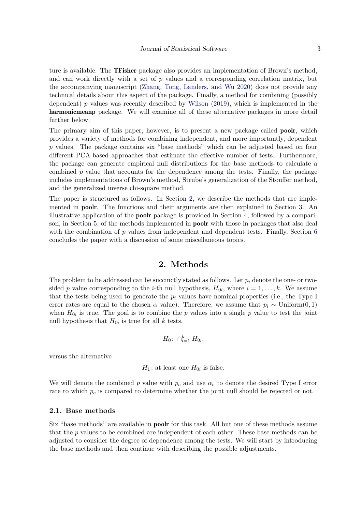ture is available. The TFisher package also provides an implementation of Brown's method, and can work directly with a set of *p* values and a corresponding correlation matrix, but the accompanying manuscript [\(Zhang, Tong, Landers, and Wu](#page-41-2) [2020\)](#page-41-2) does not provide any technical details about this aspect of the package. Finally, a method for combining (possibly dependent) *p* values was recently described by [Wilson](#page-40-6) [\(2019\)](#page-40-6), which is implemented in the harmonicmeanp package. We will examine all of these alternative packages in more detail further below.

The primary aim of this paper, however, is to present a new package called **poolr**, which provides a variety of methods for combining independent, and more importantly, dependent *p* values. The package contains six "base methods" which can be adjusted based on four different PCA-based approaches that estimate the effective number of tests. Furthermore, the package can generate empirical null distributions for the base methods to calculate a combined *p* value that accounts for the dependence among the tests. Finally, the package includes implementations of Brown's method, Strube's generalization of the Stouffer method, and the generalized inverse chi-square method.

The paper is structured as follows. In Section [2,](#page-2-0) we describe the methods that are implemented in **poolr**. The functions and their arguments are then explained in Section [3.](#page-14-0) An illustrative application of the **poolr** package is provided in Section [4,](#page-23-0) followed by a compari-son, in Section [5,](#page-26-0) of the methods implemented in **poolr** with those in packages that also deal with the combination of  $p$  values from independent and dependent tests. Finally, Section [6](#page-32-0) concludes the paper with a discussion of some miscellaneous topics.

# **2. Methods**

<span id="page-2-0"></span>The problem to be addressed can be succinctly stated as follows. Let *p<sup>i</sup>* denote the one- or twosided *p* value corresponding to the *i*-th null hypothesis,  $H_{0i}$ , where  $i = 1, \ldots, k$ . We assume that the tests being used to generate the  $p_i$  values have nominal properties (i.e., the Type I error rates are equal to the chosen  $\alpha$  value). Therefore, we assume that  $p_i \sim \text{Uniform}(0, 1)$ when  $H_{0i}$  is true. The goal is to combine the *p* values into a single *p* value to test the joint null hypothesis that  $H_{0i}$  is true for all  $k$  tests,

$$
H_0\colon \cap_{i=1}^k H_{0i},
$$

versus the alternative

$$
H_1
$$
: at least one  $H_{0i}$  is false.

We will denote the combined *p* value with  $p_c$  and use  $\alpha_c$  to denote the desired Type I error rate to which *p<sup>c</sup>* is compared to determine whether the joint null should be rejected or not.

#### <span id="page-2-1"></span>**2.1. Base methods**

Six "base methods" are available in poolr for this task. All but one of these methods assume that the *p* values to be combined are independent of each other. These base methods can be adjusted to consider the degree of dependence among the tests. We will start by introducing the base methods and then continue with describing the possible adjustments.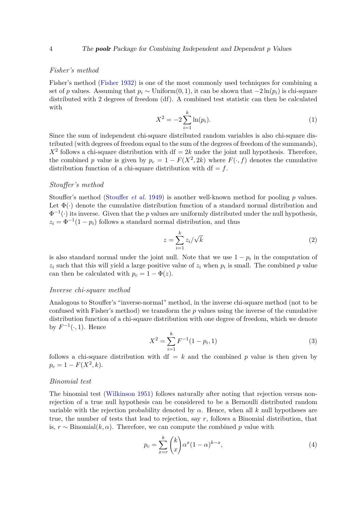#### *Fisher's method*

Fisher's method [\(Fisher](#page-37-0) [1932\)](#page-37-0) is one of the most commonly used techniques for combining a set of *p* values. Assuming that  $p_i \sim \text{Uniform}(0, 1)$ , it can be shown that  $-2\ln(p_i)$  is chi-square distributed with 2 degrees of freedom (df). A combined test statistic can then be calculated with

<span id="page-3-1"></span>
$$
X^2 = -2\sum_{i=1}^{k} \ln(p_i). \tag{1}
$$

Since the sum of independent chi-square distributed random variables is also chi-square distributed (with degrees of freedom equal to the sum of the degrees of freedom of the summands),  $X^2$  follows a chi-square distribution with df = 2*k* under the joint null hypothesis. Therefore, the combined *p* value is given by  $p_c = 1 - F(X^2, 2k)$  where  $F(\cdot, f)$  denotes the cumulative distribution function of a chi-square distribution with  $df = f$ .

#### *Stouffer's method*

Stouffer's method [\(Stouffer](#page-40-0) *et al.* [1949\)](#page-40-0) is another well-known method for pooling *p* values. Let  $\Phi(\cdot)$  denote the cumulative distribution function of a standard normal distribution and  $\Phi^{-1}(\cdot)$  its inverse. Given that the *p* values are uniformly distributed under the null hypothesis,  $z_i = \Phi^{-1}(1 - p_i)$  follows a standard normal distribution, and thus

<span id="page-3-3"></span>
$$
z = \sum_{i=1}^{k} z_i / \sqrt{k} \tag{2}
$$

is also standard normal under the joint null. Note that we use  $1 - p_i$  in the computation of  $z_i$  such that this will yield a large positive value of  $z_i$  when  $p_i$  is small. The combined  $p$  value can then be calculated with  $p_c = 1 - \Phi(z)$ .

#### *Inverse chi-square method*

Analogous to Stouffer's "inverse-normal" method, in the inverse chi-square method (not to be confused with Fisher's method) we transform the *p* values using the inverse of the cumulative distribution function of a chi-square distribution with one degree of freedom, which we denote by  $F^{-1}(\cdot, 1)$ . Hence

<span id="page-3-2"></span>
$$
X^2 = \sum_{i=1}^{k} F^{-1}(1 - p_i, 1)
$$
\n(3)

follows a chi-square distribution with  $df = k$  and the combined p value is then given by  $p_c = 1 - F(X^2, k).$ 

#### *Binomial test*

The binomial test [\(Wilkinson](#page-40-1) [1951\)](#page-40-1) follows naturally after noting that rejection versus nonrejection of a true null hypothesis can be considered to be a Bernoulli distributed random variable with the rejection probability denoted by  $\alpha$ . Hence, when all  $k$  null hypotheses are true, the number of tests that lead to rejection, say *r*, follows a Binomial distribution, that is,  $r \sim \text{Binomial}(k, \alpha)$ . Therefore, we can compute the combined p value with

<span id="page-3-0"></span>
$$
p_c = \sum_{x=r}^{k} {k \choose x} \alpha^x (1-\alpha)^{k-x},\tag{4}
$$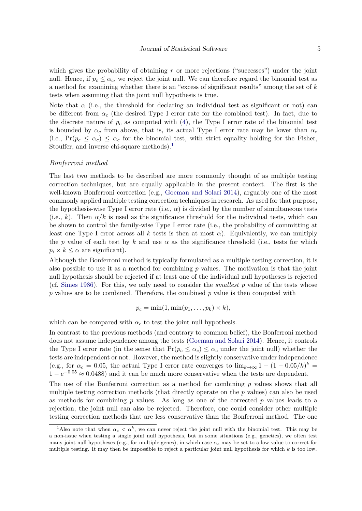which gives the probability of obtaining *r* or more rejections ("successes") under the joint null. Hence, if  $p_c \leq \alpha_c$ , we reject the joint null. We can therefore regard the binomial test as a method for examining whether there is an "excess of significant results" among the set of *k* tests when assuming that the joint null hypothesis is true.

Note that  $\alpha$  (i.e., the threshold for declaring an individual test as significant or not) can be different from  $\alpha_c$  (the desired Type I error rate for the combined test). In fact, due to the discrete nature of  $p_c$  as computed with  $(4)$ , the Type I error rate of the binomial test is bounded by  $\alpha_c$  from above, that is, its actual Type I error rate may be lower than  $\alpha_c$ (i.e.,  $Pr(p_c \leq \alpha_c) \leq \alpha_c$  for the binomial test, with strict equality holding for the Fisher, Stouffer, and inverse chi-square methods).<sup>[1](#page-4-0)</sup>

#### *Bonferroni method*

The last two methods to be described are more commonly thought of as multiple testing correction techniques, but are equally applicable in the present context. The first is the well-known Bonferroni correction (e.g., [Goeman and Solari](#page-38-4) [2014\)](#page-38-4), arguably one of the most commonly applied multiple testing correction techniques in research. As used for that purpose, the hypothesis-wise Type I error rate (i.e.,  $\alpha$ ) is divided by the number of simultaneous tests (i.e., k). Then  $\alpha/k$  is used as the significance threshold for the individual tests, which can be shown to control the family-wise Type I error rate (i.e., the probability of committing at least one Type I error across all k tests is then at most  $\alpha$ ). Equivalently, we can multiply the *p* value of each test by *k* and use  $\alpha$  as the significance threshold (i.e., tests for which  $p_i \times k \leq \alpha$  are significant).

Although the Bonferroni method is typically formulated as a multiple testing correction, it is also possible to use it as a method for combining *p* values. The motivation is that the joint null hypothesis should be rejected if at least one of the individual null hypotheses is rejected (cf. [Simes](#page-40-7) [1986\)](#page-40-7). For this, we only need to consider the *smallest p* value of the tests whose *p* values are to be combined. Therefore, the combined *p* value is then computed with

$$
p_c = \min(1, \min(p_1, \ldots, p_k) \times k),
$$

which can be compared with  $\alpha_c$  to test the joint null hypothesis.

In contrast to the previous methods (and contrary to common belief), the Bonferroni method does not assume independence among the tests [\(Goeman and Solari](#page-38-4) [2014\)](#page-38-4). Hence, it controls the Type I error rate (in the sense that  $Pr(p_c \leq \alpha_c) \leq \alpha_c$  under the joint null) whether the tests are independent or not. However, the method is slightly conservative under independence (e.g., for  $\alpha_c = 0.05$ , the actual Type I error rate converges to  $\lim_{k\to\infty} 1 - (1 - 0.05/k)^k$  $1 - e^{-0.05} \approx 0.0488$ ) and it can be much more conservative when the tests are dependent.

The use of the Bonferroni correction as a method for combining *p* values shows that all multiple testing correction methods (that directly operate on the *p* values) can also be used as methods for combining *p* values. As long as one of the corrected *p* values leads to a rejection, the joint null can also be rejected. Therefore, one could consider other multiple testing correction methods that are less conservative than the Bonferroni method. The one

<span id="page-4-0"></span><sup>&</sup>lt;sup>1</sup>Also note that when  $\alpha_c < \alpha^k$ , we can never reject the joint null with the binomial test. This may be a non-issue when testing a single joint null hypothesis, but in some situations (e.g., genetics), we often test many joint null hypotheses (e.g., for multiple genes), in which case  $\alpha_c$  may be set to a low value to correct for multiple testing. It may then be impossible to reject a particular joint null hypothesis for which *k* is too low.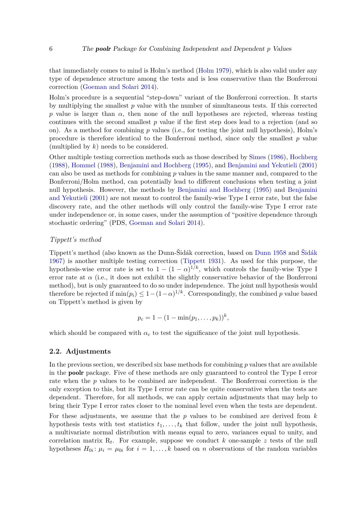that immediately comes to mind is Holm's method [\(Holm](#page-38-5) [1979\)](#page-38-5), which is also valid under any type of dependence structure among the tests and is less conservative than the Bonferroni correction [\(Goeman and Solari](#page-38-4) [2014\)](#page-38-4).

Holm's procedure is a sequential "step-down" variant of the Bonferroni correction. It starts by multiplying the smallest *p* value with the number of simultaneous tests. If this corrected *p* value is larger than  $\alpha$ , then none of the null hypotheses are rejected, whereas testing continues with the second smallest *p* value if the first step does lead to a rejection (and so on). As a method for combining *p* values (i.e., for testing the joint null hypothesis), Holm's procedure is therefore identical to the Bonferroni method, since only the smallest *p* value (multiplied by *k*) needs to be considered.

Other multiple testing correction methods such as those described by [Simes](#page-40-7) [\(1986\)](#page-40-7), [Hochberg](#page-38-6) [\(1988\)](#page-38-6), [Hommel](#page-38-7) [\(1988\)](#page-38-7), [Benjamini and Hochberg](#page-36-4) [\(1995\)](#page-36-4), and [Benjamini and Yekutieli](#page-36-5) [\(2001\)](#page-36-5) can also be used as methods for combining *p* values in the same manner and, compared to the Bonferroni/Holm method, can potentially lead to different conclusions when testing a joint null hypothesis. However, the methods by [Benjamini and Hochberg](#page-36-4) [\(1995\)](#page-36-4) and [Benjamini](#page-36-5) [and Yekutieli](#page-36-5) [\(2001\)](#page-36-5) are not meant to control the family-wise Type I error rate, but the false discovery rate, and the other methods will only control the family-wise Type I error rate under independence or, in some cases, under the assumption of "positive dependence through stochastic ordering" (PDS, [Goeman and Solari](#page-38-4) [2014\)](#page-38-4).

#### *Tippett's method*

Tippett's method (also known as the Dunn-Šidák correction, based on [Dunn](#page-37-7) [1958](#page-37-7) and [Šidák](#page-40-8) [1967\)](#page-40-8) is another multiple testing correction [\(Tippett](#page-40-5) [1931\)](#page-40-5). As used for this purpose, the hypothesis-wise error rate is set to  $1 - (1 - \alpha)^{1/k}$ , which controls the family-wise Type I error rate at  $\alpha$  (i.e., it does not exhibit the slightly conservative behavior of the Bonferroni method), but is only guaranteed to do so under independence. The joint null hypothesis would therefore be rejected if  $\min(p_i) \leq 1 - (1 - \alpha)^{1/k}$ . Correspondingly, the combined *p* value based on Tippett's method is given by

$$
p_c = 1 - (1 - \min(p_1, \ldots, p_k))^k,
$$

which should be compared with  $\alpha_c$  to test the significance of the joint null hypothesis.

#### <span id="page-5-0"></span>**2.2. Adjustments**

In the previous section, we described six base methods for combining *p* values that are available in the poolr package. Five of these methods are only guaranteed to control the Type I error rate when the *p* values to be combined are independent. The Bonferroni correction is the only exception to this, but its Type I error rate can be quite conservative when the tests are dependent. Therefore, for all methods, we can apply certain adjustments that may help to bring their Type I error rates closer to the nominal level even when the tests are dependent.

For these adjustments, we assume that the *p* values to be combined are derived from *k* hypothesis tests with test statistics  $t_1, \ldots, t_k$  that follow, under the joint null hypothesis, a multivariate normal distribution with means equal to zero, variances equal to unity, and correlation matrix  $R_t$ . For example, suppose we conduct *k* one-sample *z* tests of the null hypotheses  $H_{0i}$ :  $\mu_i = \mu_{0i}$  for  $i = 1, \ldots, k$  based on *n* observations of the random variables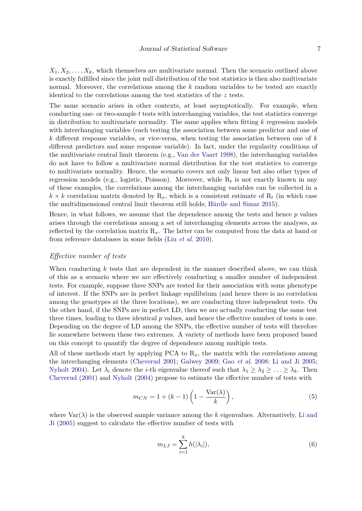The same scenario arises in other contexts, at least asymptotically. For example, when conducting one- or two-sample *t* tests with interchanging variables, the test statistics converge in distribution to multivariate normality. The same applies when fitting *k* regression models with interchanging variables (each testing the association between some predictor and one of *k* different response variables, or vice-versa, when testing the association between one of *k* different predictors and some response variable). In fact, under the regularity conditions of the multivariate central limit theorem (e.g., [Van der Vaart](#page-40-9) [1998\)](#page-40-9), the interchanging variables do not have to follow a multivariate normal distribution for the test statistics to converge to multivariate normality. Hence, the scenario covers not only linear but also other types of regression models (e.g., logistic, Poisson). Moreover, while R*<sup>t</sup>* is not exactly known in any of these examples, the correlations among the interchanging variables can be collected in a  $k \times k$  correlation matrix denoted by  $R_x$ , which is a consistent estimate of  $R_t$  (in which case the multidimensional central limit theorem still holds; [Härdle and Simar](#page-38-8) [2015\)](#page-38-8).

Hence, in what follows, we assume that the dependence among the tests and hence *p* values arises through the correlations among a set of interchanging elements across the analyses, as reflected by the correlation matrix R*x*. The latter can be computed from the data at hand or from reference databases in some fields (Liu *[et al.](#page-39-2)* [2010\)](#page-39-2).

# *Effective number of tests*

When conducting *k* tests that are dependent in the manner described above, we can think of this as a scenario where we are effectively conducting a smaller number of independent tests. For example, suppose three SNPs are tested for their association with some phenotype of interest. If the SNPs are in perfect linkage equilibrium (and hence there is no correlation among the genotypes at the three locations), we are conducting three independent tests. On the other hand, if the SNPs are in perfect LD, then we are actually conducting the same test three times, leading to three identical *p* values, and hence the effective number of tests is one. Depending on the degree of LD among the SNPs, the effective number of tests will therefore lie somewhere between these two extremes. A variety of methods have been proposed based on this concept to quantify the degree of dependence among multiple tests.

All of these methods start by applying PCA to R*x*, the matrix with the correlations among the interchanging elements [\(Cheverud](#page-36-3) [2001;](#page-36-3) [Galwey](#page-37-3) [2009;](#page-37-3) Gao *[et al.](#page-37-2)* [2008;](#page-37-2) [Li and Ji](#page-38-1) [2005;](#page-38-1) [Nyholt](#page-39-1) [2004\)](#page-39-1). Let  $\lambda_i$  denote the *i*-th eigenvalue thereof such that  $\lambda_1 \geq \lambda_2 \geq \ldots \geq \lambda_k$ . Then [Cheverud](#page-36-3) [\(2001\)](#page-36-3) and [Nyholt](#page-39-1) [\(2004\)](#page-39-1) propose to estimate the effective number of tests with

<span id="page-6-0"></span>
$$
m_{CN} = 1 + (k - 1) \left( 1 - \frac{\text{Var}(\lambda)}{k} \right),\tag{5}
$$

where  $\text{Var}(\lambda)$  is the observed sample variance among the *k* eigenvalues. Alternatively, [Li and](#page-38-1) [Ji](#page-38-1) [\(2005\)](#page-38-1) suggest to calculate the effective number of tests with

<span id="page-6-1"></span>
$$
m_{LJ} = \sum_{i=1}^{k} h(|\lambda_i|),\tag{6}
$$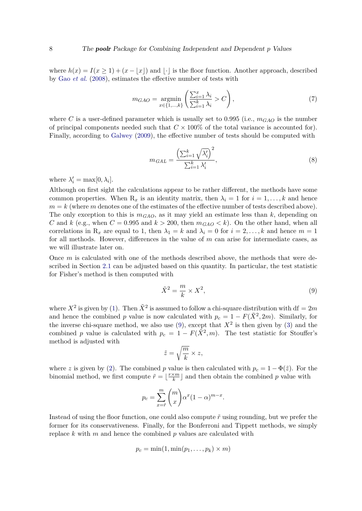where  $h(x) = I(x \ge 1) + (x - |x|)$  and  $| \cdot |$  is the floor function. Another approach, described by Gao *[et al.](#page-37-2)* [\(2008\)](#page-37-2), estimates the effective number of tests with

<span id="page-7-1"></span>
$$
m_{GAO} = \underset{x \in \{1,\dots,k\}}{\operatorname{argmin}} \left( \frac{\sum_{i=1}^{x} \lambda_i}{\sum_{i=1}^{k} \lambda_i} > C \right),\tag{7}
$$

where *C* is a user-defined parameter which is usually set to 0.995 (i.e.,  $m_{GAO}$  is the number of principal components needed such that  $C \times 100\%$  of the total variance is accounted for). Finally, according to [Galwey](#page-37-3) [\(2009\)](#page-37-3), the effective number of tests should be computed with

<span id="page-7-2"></span>
$$
m_{GAL} = \frac{\left(\sum_{i=1}^{k} \sqrt{\lambda_i'}\right)^2}{\sum_{i=1}^{k} \lambda_i'},\tag{8}
$$

where  $\lambda'_i = \max[0, \lambda_i]$ .

Although on first sight the calculations appear to be rather different, the methods have some common properties. When  $R_x$  is an identity matrix, then  $\lambda_i = 1$  for  $i = 1, \ldots, k$  and hence  $m = k$  (where *m* denotes one of the estimates of the effective number of tests described above). The only exception to this is *mGAO*, as it may yield an estimate less than *k*, depending on *C* and *k* (e.g., when  $C = 0.995$  and  $k > 200$ , then  $m_{GAO} < k$ ). On the other hand, when all correlations in  $R_x$  are equal to 1, then  $\lambda_1 = k$  and  $\lambda_i = 0$  for  $i = 2, \ldots, k$  and hence  $m = 1$ for all methods. However, differences in the value of *m* can arise for intermediate cases, as we will illustrate later on.

Once *m* is calculated with one of the methods described above, the methods that were described in Section [2.1](#page-2-1) can be adjusted based on this quantity. In particular, the test statistic for Fisher's method is then computed with

<span id="page-7-0"></span>
$$
\tilde{X}^2 = \frac{m}{k} \times X^2,\tag{9}
$$

where  $X^2$  is given by [\(1\)](#page-3-1). Then  $\tilde{X}^2$  is assumed to follow a chi-square distribution with df = 2*m* and hence the combined *p* value is now calculated with  $p_c = 1 - F(\tilde{X}^2, 2m)$ . Similarly, for the inverse chi-square method, we also use  $(9)$ , except that  $X^2$  is then given by  $(3)$  and the combined *p* value is calculated with  $p_c = 1 - F(\tilde{X}^2, m)$ . The test statistic for Stouffer's method is adjusted with

$$
\tilde{z} = \sqrt{\frac{m}{k}} \times z,
$$

where *z* is given by [\(2\)](#page-3-3). The combined *p* value is then calculated with  $p_c = 1 - \Phi(\tilde{z})$ . For the binomial method, we first compute  $\tilde{r} = \frac{r \times m}{k}$  $\left(\frac{\times m}{k}\right)$  and then obtain the combined *p* value with

$$
p_c = \sum_{x=\tilde{r}}^{m} \binom{m}{x} \alpha^x (1-\alpha)^{m-x}.
$$

Instead of using the floor function, one could also compute  $\tilde{r}$  using rounding, but we prefer the former for its conservativeness. Finally, for the Bonferroni and Tippett methods, we simply replace *k* with *m* and hence the combined *p* values are calculated with

$$
p_c = \min(1, \min(p_1, \ldots, p_k) \times m)
$$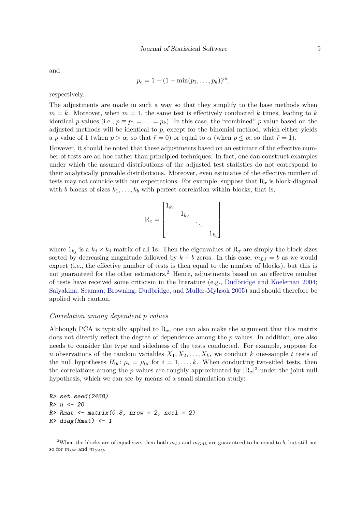and

$$
p_c = 1 - (1 - \min(p_1, \ldots, p_k))^m,
$$

respectively.

The adjustments are made in such a way so that they simplify to the base methods when  $m = k$ . Moreover, when  $m = 1$ , the same test is effectively conducted k times, leading to k identical *p* values (i.e.,  $p \equiv p_1 = \ldots = p_k$ ). In this case, the "combined" *p* value based on the adjusted methods will be identical to *p*, except for the binomial method, which either yields a *p* value of 1 (when  $p > \alpha$ , so that  $\tilde{r} = 0$ ) or equal to  $\alpha$  (when  $p \leq \alpha$ , so that  $\tilde{r} = 1$ ).

However, it should be noted that these adjustments based on an estimate of the effective number of tests are ad hoc rather than principled techniques. In fact, one can construct examples under which the assumed distributions of the adjusted test statistics do not correspond to their analytically provable distributions. Moreover, even estimates of the effective number of tests may not coincide with our expectations. For example, suppose that  $R_x$  is block-diagonal with *b* blocks of sizes  $k_1, \ldots, k_b$  with perfect correlation within blocks, that is,

$$
R_x = \begin{bmatrix} 1_{k_1} & & & \\ & 1_{k_2} & & \\ & & \ddots & \\ & & & 1_{k_b} \end{bmatrix}
$$

where  $1_{k_j}$  is a  $k_j \times k_j$  matrix of all 1s. Then the eigenvalues of  $R_x$  are simply the block sizes sorted by decreasing magnitude followed by  $k - b$  zeros. In this case,  $m_{LJ} = b$  as we would expect (i.e., the effective number of tests is then equal to the number of blocks), but this is not guaranteed for the other estimators.<sup>[2](#page-8-0)</sup> Hence, adjustments based on an effective number of tests have received some criticism in the literature (e.g., [Dudbridge and Koeleman](#page-37-8) [2004;](#page-37-8) [Salyakina, Seaman, Browning, Dudbridge, and Muller-Myhsok](#page-39-6) [2005\)](#page-39-6) and should therefore be applied with caution.

#### *Correlation among dependent p values*

Although PCA is typically applied to  $R_x$ , one can also make the argument that this matrix does not directly reflect the degree of dependence among the *p* values. In addition, one also needs to consider the type and sidedness of the tests conducted. For example, suppose for *n* observations of the random variables  $X_1, X_2, \ldots, X_k$ , we conduct *k* one-sample *t* tests of the null hypotheses  $H_{0i}$ :  $\mu_i = \mu_{0i}$  for  $i = 1, \ldots, k$ . When conducting two-sided tests, then the correlations among the *p* values are roughly approximated by  $|R_x|^3$  under the joint null hypothesis, which we can see by means of a small simulation study:

```
R> set.seed(2468)
R > n < -20R > Rmat \leftarrow matrix(0.8, nrow = 2, ncol = 2)
R> diag(Rmat) <- 1
```
<span id="page-8-0"></span><sup>&</sup>lt;sup>2</sup>When the blocks are of equal size, then both  $m_{LJ}$  and  $m_{GAL}$  are guaranteed to be equal to *b*, but still not so for *mCN* and *mGAO*.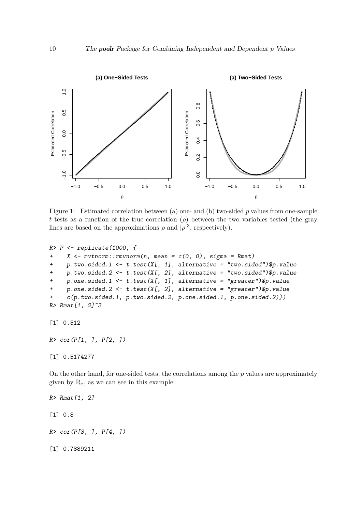

<span id="page-9-0"></span>Figure 1: Estimated correlation between (a) one- and (b) two-sided *p* values from one-sample *t* tests as a function of the true correlation  $(\rho)$  between the two variables tested (the gray lines are based on the approximations  $\rho$  and  $|\rho|^3$ , respectively).

```
R > P <- replicate(1000, {
+ X \leftarrow \text{mvtnorm}: : rmvnorm(n, \text{mean} = c(0, 0), \text{sigma} = \text{Rmat})+ p.two.sided.1 <- t.test(X[, 1], alternative = "two.sided")$p.value
+ p.two.sided.2 <- t.test(X[, 2], alternative = "two.sided")$p.value
     p.one.sided.1 <- t.test(X[, 1], alternative = "greater")$p.value
+ p.one.sided.2 <- t.test(X[, 2], alternative = "greater")$p.value
     c(p.two.sided.1, p.two.sided.2, p.one.sided.1, p.one.sided.2)\})R > Rmat[1, 2]<sup>-3</sup>
[1] 0.512
R > cor(P[1, 1, P[2, 1])
```

```
[1] 0.5174277
```
On the other hand, for one-sided tests, the correlations among the *p* values are approximately given by  $R_x$ , as we can see in this example:

 $R > Rmat[1, 2]$ [1] 0.8  $R > cor(P[3, 1, P[4, 1])$ [1] 0.7889211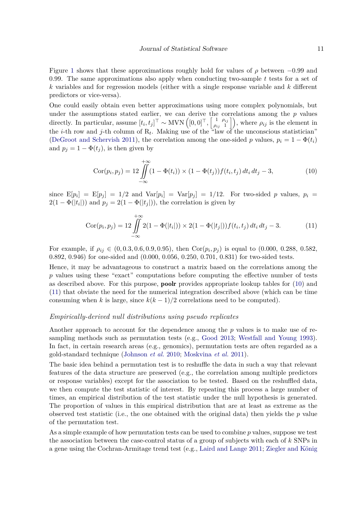Figure [1](#page-9-0) shows that these approximations roughly hold for values of  $\rho$  between  $-0.99$  and 0*.*99. The same approximations also apply when conducting two-sample *t* tests for a set of *k* variables and for regression models (either with a single response variable and *k* different predictors or vice-versa).

One could easily obtain even better approximations using more complex polynomials, but under the assumptions stated earlier, we can derive the correlations among the *p* values directly. In particular, assume  $[t_i, t_j]^\top \sim \text{MVN} \left( [0, 0]^\top, \begin{bmatrix} 1 & \rho_{ij} \\ \rho_{ij} & 1 \end{bmatrix} \right)$  $\begin{bmatrix} 1 & \rho_{ij} \\ \rho_{ij} & 1 \end{bmatrix}$ , where  $\rho_{ij}$  is the element in the *i*-th row and *j*-th column of  $R_t$ . Making use of the "law of the unconscious statistician" [\(DeGroot and Schervish](#page-37-9) [2011\)](#page-37-9), the correlation among the one-sided *p* values,  $p_i = 1 - \Phi(t_i)$ and  $p_j = 1 - \Phi(t_j)$ , is then given by

<span id="page-10-0"></span>
$$
Cor(p_i, p_j) = 12 \iint_{-\infty}^{+\infty} (1 - \Phi(t_i)) \times (1 - \Phi(t_j)) f(t_i, t_j) dt_i dt_j - 3,
$$
\n(10)

 $\text{since } \mathbb{E}[p_i] = \mathbb{E}[p_j] = 1/2 \text{ and } \text{Var}[p_i] = \text{Var}[p_j] = 1/12. \text{ For two-sided } p \text{ values, } p_i = 1/2$  $2(1 - \Phi(|t_i|))$  and  $p_j = 2(1 - \Phi(|t_j|))$ , the correlation is given by

<span id="page-10-1"></span>
$$
Cor(p_i, p_j) = 12 \iint_{-\infty}^{+\infty} 2(1 - \Phi(|t_i|)) \times 2(1 - \Phi(|t_j|)) f(t_i, t_j) dt_i dt_j - 3.
$$
 (11)

For example, if  $\rho_{ij} \in (0, 0.3, 0.6, 0.9, 0.95)$ , then  $Cor(p_i, p_j)$  is equal to  $(0.000, 0.288, 0.582, 0.582)$ 0.892, 0.946) for one-sided and (0.000, 0.056, 0.250, 0.701, 0.831) for two-sided tests.

Hence, it may be advantageous to construct a matrix based on the correlations among the p values using these "exact" computations before computing the effective number of tests as described above. For this purpose, poolr provides appropriate lookup tables for [\(10\)](#page-10-0) and [\(11\)](#page-10-1) that obviate the need for the numerical integration described above (which can be time consuming when *k* is large, since  $k(k-1)/2$  correlations need to be computed).

#### *Empirically-derived null distributions using pseudo replicates*

Another approach to account for the dependence among the *p* values is to make use of resampling methods such as permutation tests (e.g., [Good](#page-38-9) [2013;](#page-38-9) [Westfall and Young](#page-40-10) [1993\)](#page-40-10). In fact, in certain research areas (e.g., genomics), permutation tests are often regarded as a gold-standard technique [\(Johnson](#page-38-10) *et al.* [2010;](#page-38-10) [Moskvina](#page-39-3) *et al.* [2011\)](#page-39-3).

The basic idea behind a permutation test is to reshuffle the data in such a way that relevant features of the data structure are preserved (e.g., the correlation among multiple predictors or response variables) except for the association to be tested. Based on the reshuffled data, we then compute the test statistic of interest. By repeating this process a large number of times, an empirical distribution of the test statistic under the null hypothesis is generated. The proportion of values in this empirical distribution that are at least as extreme as the observed test statistic (i.e., the one obtained with the original data) then yields the *p* value of the permutation test.

As a simple example of how permutation tests can be used to combine *p* values, suppose we test the association between the case-control status of a group of subjects with each of *k* SNPs in a gene using the Cochran-Armitage trend test (e.g., [Laird and Lange](#page-38-11) [2011;](#page-38-11) [Ziegler and König](#page-41-3)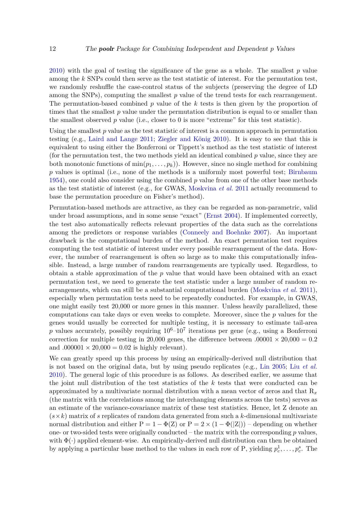[2010\)](#page-41-3) with the goal of testing the significance of the gene as a whole. The smallest *p* value among the *k* SNPs could then serve as the test statistic of interest. For the permutation test, we randomly reshuffle the case-control status of the subjects (preserving the degree of LD among the SNPs), computing the smallest *p* value of the trend tests for each rearrangement. The permutation-based combined *p* value of the *k* tests is then given by the proportion of times that the smallest *p* value under the permutation distribution is equal to or smaller than the smallest observed *p* value (i.e., closer to 0 is more "extreme" for this test statistic).

Using the smallest *p* value as the test statistic of interest is a common approach in permutation testing (e.g., [Laird and Lange](#page-38-11) [2011;](#page-38-11) [Ziegler and König](#page-41-3) [2010\)](#page-41-3). It is easy to see that this is equivalent to using either the Bonferroni or Tippett's method as the test statistic of interest (for the permutation test, the two methods yield an identical combined *p* value, since they are both monotonic functions of  $\min(p_1, \ldots, p_k)$ . However, since no single method for combining *p* values is optimal (i.e., none of the methods is a uniformly most powerful test; [Birnbaum](#page-36-6) [1954\)](#page-36-6), one could also consider using the combined *p* value from one of the other base methods as the test statistic of interest (e.g., for GWAS, [Moskvina](#page-39-3) *et al.* [2011](#page-39-3) actually recommend to base the permutation procedure on Fisher's method).

Permutation-based methods are attractive, as they can be regarded as non-parametric, valid under broad assumptions, and in some sense "exact" [\(Ernst](#page-37-10) [2004\)](#page-37-10). If implemented correctly, the test also automatically reflects relevant properties of the data such as the correlations among the predictors or response variables [\(Conneely and Boehnke](#page-37-11) [2007\)](#page-37-11). An important drawback is the computational burden of the method. An exact permutation test requires computing the test statistic of interest under every possible rearrangement of the data. However, the number of rearrangement is often so large as to make this computationally infeasible. Instead, a large number of random rearrangements are typically used. Regardless, to obtain a stable approximation of the *p* value that would have been obtained with an exact permutation test, we need to generate the test statistic under a large number of random rearrangements, which can still be a substantial computational burden [\(Moskvina](#page-39-3) *et al.* [2011\)](#page-39-3), especially when permutation tests need to be repeatedly conducted. For example, in GWAS, one might easily test 20*,*000 or more genes in this manner. Unless heavily parallelized, these computations can take days or even weeks to complete. Moreover, since the *p* values for the genes would usually be corrected for multiple testing, it is necessary to estimate tail-area p values accurately, possibly requiring  $10^6 - 10^7$  iterations per gene (e.g., using a Bonferroni correction for multiple testing in 20,000 genes, the difference between  $.00001 \times 20,000 = 0.2$ and  $.000001 \times 20,000 = 0.02$  is highly relevant).

We can greatly speed up this process by using an empirically-derived null distribution that is not based on the original data, but by using pseudo replicates (e.g., [Lin](#page-38-2) [2005;](#page-38-2) Liu *[et al.](#page-39-2)* [2010\)](#page-39-2). The general logic of this procedure is as follows. As described earlier, we assume that the joint null distribution of the test statistics of the *k* tests that were conducted can be approximated by a multivariate normal distribution with a mean vector of zeros and that  $R_x$ (the matrix with the correlations among the interchanging elements across the tests) serves as an estimate of the variance-covariance matrix of these test statistics. Hence, let Z denote an  $(s \times k)$  matrix of *s* replicates of random data generated from such a *k*-dimensional multivariate normal distribution and either  $P = 1 - \Phi(Z)$  or  $P = 2 \times (1 - \Phi(|Z|))$  – depending on whether one- or two-sided tests were originally conducted – the matrix with the corresponding *p* values, with  $\Phi(\cdot)$  applied element-wise. An empirically-derived null distribution can then be obtained by applying a particular base method to the values in each row of P, yielding  $p_c^1, \ldots, p_c^s$ . The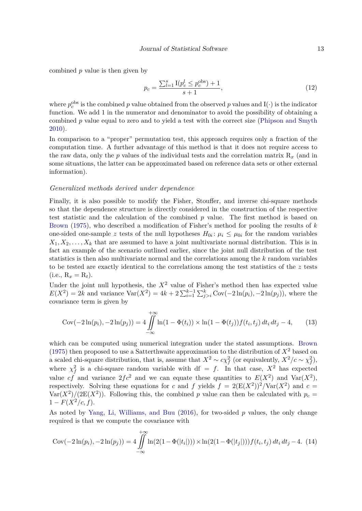combined *p* value is then given by

<span id="page-12-2"></span>
$$
p_c = \frac{\sum_{l=1}^{s} \mathcal{I}(p_c^l \le p_c^{\text{obs}}) + 1}{s + 1},\tag{12}
$$

where  $p_c^{\text{obs}}$  is the combined *p* value obtained from the observed *p* values and I(·) is the indicator function. We add 1 in the numerator and denominator to avoid the possibility of obtaining a combined *p* value equal to zero and to yield a test with the correct size [\(Phipson and Smyth](#page-39-7) [2010\)](#page-39-7).

In comparison to a "proper" permutation test, this approach requires only a fraction of the computation time. A further advantage of this method is that it does not require access to the raw data, only the  $p$  values of the individual tests and the correlation matrix  $R_x$  (and in some situations, the latter can be approximated based on reference data sets or other external information).

#### *Generalized methods derived under dependence*

Finally, it is also possible to modify the Fisher, Stouffer, and inverse chi-square methods so that the dependence structure is directly considered in the construction of the respective test statistic and the calculation of the combined *p* value. The first method is based on [Brown](#page-36-2) [\(1975\)](#page-36-2), who described a modification of Fisher's method for pooling the results of *k* one-sided one-sample *z* tests of the null hypotheses  $H_{0i}$ :  $\mu_i \leq \mu_{0i}$  for the random variables  $X_1, X_2, \ldots, X_k$  that are assumed to have a joint multivariate normal distribution. This is in fact an example of the scenario outlined earlier, since the joint null distribution of the test statistics is then also multivariate normal and the correlations among the *k* random variables to be tested are exactly identical to the correlations among the test statistics of the *z* tests  $(i.e., R_x = R_t).$ 

Under the joint null hypothesis, the  $X<sup>2</sup>$  value of Fisher's method then has expected value  $E(X^2) = 2k$  and variance  $Var(X^2) = 4k + 2\sum_{i=1}^{k-1}\sum_{j>i}^{k}Cov(-2\ln(p_i), -2\ln(p_j))$ , where the covariance term is given by

<span id="page-12-0"></span>
$$
Cov(-2\ln(p_i), -2\ln(p_j)) = 4 \iint\limits_{-\infty}^{+\infty} \ln(1 - \Phi(t_i)) \times \ln(1 - \Phi(t_j)) f(t_i, t_j) dt_i dt_j - 4,
$$
 (13)

which can be computed using numerical integration under the stated assumptions. [Brown](#page-36-2) [\(1975\)](#page-36-2) then proposed to use a Satterthwaite approximation to the distribution of  $X^2$  based on a scaled chi-square distribution, that is, assume that  $X^2 \sim c \chi_f^2$  (or equivalently,  $X^2/c \sim \chi_f^2$ ), where  $\chi^2_f$  is a chi-square random variable with df = f. In that case,  $X^2$  has expected value  $cf$  and variance  $2fc^2$  and we can equate these quantities to  $E(X^2)$  and  $Var(X^2)$ , respectively. Solving these equations for *c* and *f* yields  $f = 2(E(X^2))^2 / Var(X^2)$  and  $c =$  $Var(X^2)/(2E(X^2))$ . Following this, the combined *p* value can then be calculated with  $p_c =$  $1 - F(X^2/c, f)$ .

As noted by [Yang, Li, Williams, and Buu](#page-40-11) [\(2016\)](#page-40-11), for two-sided *p* values, the only change required is that we compute the covariance with

<span id="page-12-1"></span>
$$
Cov(-2\ln(p_i), -2\ln(p_j)) = 4 \iint_{-\infty}^{+\infty} \ln(2(1-\Phi(|t_i|))) \times \ln(2(1-\Phi(|t_j|))) f(t_i, t_j) dt_i dt_j - 4. \tag{14}
$$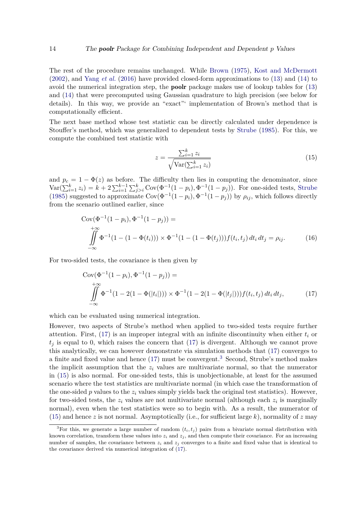The rest of the procedure remains unchanged. While [Brown](#page-36-2) [\(1975\)](#page-36-2), [Kost and McDermott](#page-38-12) [\(2002\)](#page-38-12), and [Yang](#page-40-11) *et al.* [\(2016\)](#page-40-11) have provided closed-form approximations to [\(13\)](#page-12-0) and [\(14\)](#page-12-1) to avoid the numerical integration step, the poolr package makes use of lookup tables for [\(13\)](#page-12-0) and [\(14\)](#page-12-1) that were precomputed using Gaussian quadrature to high precision (see below for details). In this way, we provide an "exact"' implementation of Brown's method that is computationally efficient.

The next base method whose test statistic can be directly calculated under dependence is Stouffer's method, which was generalized to dependent tests by [Strube](#page-40-3) [\(1985\)](#page-40-3). For this, we compute the combined test statistic with

<span id="page-13-3"></span><span id="page-13-2"></span><span id="page-13-0"></span>
$$
z = \frac{\sum_{i=1}^{k} z_i}{\sqrt{\text{Var}(\sum_{i=1}^{k} z_i)}}\tag{15}
$$

and  $p_c = 1 - \Phi(z)$  as before. The difficulty then lies in computing the denominator, since  $Var(\sum_{i=1}^{k} z_i) = k + 2\sum_{i=1}^{k-1} \sum_{j>i}^{k} Cov(\Phi^{-1}(1-p_i), \Phi^{-1}(1-p_j)).$  For one-sided tests, [Strube](#page-40-3) [\(1985\)](#page-40-3) suggested to approximate  $\text{Cov}(\Phi^{-1}(1-p_i), \Phi^{-1}(1-p_j))$  by  $\rho_{ij}$ , which follows directly from the scenario outlined earlier, since

$$
\text{Cov}(\Phi^{-1}(1-p_i), \Phi^{-1}(1-p_j)) =
$$
  
\n
$$
\iint_{-\infty}^{+\infty} \Phi^{-1}(1-(1-\Phi(t_i))) \times \Phi^{-1}(1-(1-\Phi(t_j)))f(t_i, t_j) dt_i dt_j = \rho_{ij}.
$$
 (16)

For two-sided tests, the covariance is then given by

$$
\begin{aligned} \text{Cov}(\Phi^{-1}(1-p_i), \Phi^{-1}(1-p_j)) &= \\ \iint\limits_{-\infty}^{+\infty} \Phi^{-1}(1-2(1-\Phi(|t_i|))) \times \Phi^{-1}(1-2(1-\Phi(|t_j|))) f(t_i, t_j) \, dt_i \, dt_j, \end{aligned} \tag{17}
$$

which can be evaluated using numerical integration.

However, two aspects of Strube's method when applied to two-sided tests require further attention. First,  $(17)$  is an improper integral with an infinite discontinuity when either  $t_i$  or  $t_i$  is equal to 0, which raises the concern that  $(17)$  is divergent. Although we cannot prove this analytically, we can however demonstrate via simulation methods that [\(17\)](#page-13-0) converges to a finite and fixed value and hence [\(17\)](#page-13-0) must be convergent.[3](#page-13-1) Second, Strube's method makes the implicit assumption that the  $z_i$  values are multivariate normal, so that the numerator in [\(15\)](#page-13-2) is also normal. For one-sided tests, this is unobjectionable, at least for the assumed scenario where the test statistics are multivariate normal (in which case the transformation of the one-sided *p* values to the *z<sup>i</sup>* values simply yields back the original test statistics). However, for two-sided tests, the *z<sup>i</sup>* values are not multivariate normal (although each *z<sup>i</sup>* is marginally normal), even when the test statistics were so to begin with. As a result, the numerator of [\(15\)](#page-13-2) and hence  $z$  is not normal. Asymptotically (i.e., for sufficient large  $k$ ), normality of  $z$  may

<span id="page-13-1"></span><sup>&</sup>lt;sup>3</sup>For this, we generate a large number of random  $(t_i, t_j)$  pairs from a bivariate normal distribution with known correlation, transform these values into  $z_i$  and  $z_j$ , and then compute their covariance. For an increasing number of samples, the covariance between  $z_i$  and  $z_j$  converges to a finite and fixed value that is identical to the covariance derived via numerical integration of [\(17\)](#page-13-0).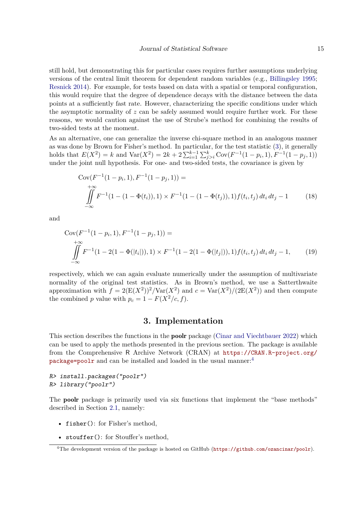still hold, but demonstrating this for particular cases requires further assumptions underlying versions of the central limit theorem for dependent random variables (e.g., [Billingsley](#page-36-7) [1995;](#page-36-7) [Resnick](#page-39-8) [2014\)](#page-39-8). For example, for tests based on data with a spatial or temporal configuration, this would require that the degree of dependence decays with the distance between the data points at a sufficiently fast rate. However, characterizing the specific conditions under which the asymptotic normality of *z* can be safely assumed would require further work. For these reasons, we would caution against the use of Strube's method for combining the results of two-sided tests at the moment.

As an alternative, one can generalize the inverse chi-square method in an analogous manner as was done by Brown for Fisher's method. In particular, for the test statistic [\(3\)](#page-3-2), it generally holds that  $E(X^2) = k$  and  $Var(X^2) = 2k + 2\sum_{i=1}^{k-1}\sum_{j>i}^{k} Cov(F^{-1}(1-p_i, 1), F^{-1}(1-p_j, 1))$ under the joint null hypothesis. For one- and two-sided tests, the covariance is given by

$$
\text{Cov}(F^{-1}(1-p_i, 1), F^{-1}(1-p_j, 1)) =
$$
  
\n
$$
\iint_{-\infty}^{+\infty} F^{-1}(1 - (1 - \Phi(t_i)), 1) \times F^{-1}(1 - (1 - \Phi(t_j)), 1) f(t_i, t_j) dt_i dt_j - 1
$$
\n(18)

and

$$
\text{Cov}(F^{-1}(1-p_i, 1), F^{-1}(1-p_j, 1)) =
$$
  
\n
$$
\iint_{-\infty}^{+\infty} F^{-1}(1 - 2(1 - \Phi(|t_i|)), 1) \times F^{-1}(1 - 2(1 - \Phi(|t_j|)), 1) f(t_i, t_j) dt_i dt_j - 1,
$$
\n(19)

respectively, which we can again evaluate numerically under the assumption of multivariate normality of the original test statistics. As in Brown's method, we use a Satterthwaite approximation with  $f = 2(E(X^2))^2 / Var(X^2)$  and  $c = Var(X^2) / (2E(X^2))$  and then compute the combined *p* value with  $p_c = 1 - F(X^2/c, f)$ .

## <span id="page-14-3"></span><span id="page-14-2"></span>**3. Implementation**

<span id="page-14-0"></span>This section describes the functions in the **poolr** package [\(Cinar and Viechtbauer](#page-37-12) [2022\)](#page-37-12) which can be used to apply the methods presented in the previous section. The package is available from the Comprehensive R Archive Network (CRAN) at [https://CRAN.R-project.org/](https://CRAN.R-project.org/package=poolr) [package=poolr](https://CRAN.R-project.org/package=poolr) and can be installed and loaded in the usual manner:[4](#page-14-1)

```
R> install.packages("poolr")
R> library("poolr")
```
The poolr package is primarily used via six functions that implement the "base methods" described in Section [2.1,](#page-2-1) namely:

- fisher(): for Fisher's method,
- stouffer(): for Stouffer's method,

<span id="page-14-1"></span><sup>&</sup>lt;sup>4</sup>The development version of the package is hosted on GitHub (<https://github.com/ozancinar/poolr>).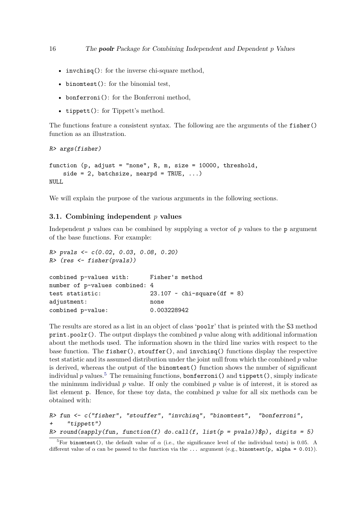- invchisq(): for the inverse chi-square method,
- binomtest(): for the binomial test,
- bonferroni(): for the Bonferroni method,
- tippett(): for Tippett's method.

The functions feature a consistent syntax. The following are the arguments of the fisher() function as an illustration.

```
R> args(fisher)
```

```
function (p, adjust = "none", R, m, size = 10000, threshold,
    side = 2, batchsize, nearpd = TRUE, \ldots)
NULL
```
We will explain the purpose of the various arguments in the following sections.

# **3.1. Combining independent** *p* **values**

Independent *p* values can be combined by supplying a vector of *p* values to the p argument of the base functions. For example:

```
R> pvals <- c(0.02, 0.03, 0.08, 0.20)
R> (res <- fisher(pvals))
combined p-values with: Fisher's method
number of p-values combined: 4
test statistic: 23.107 \sim \text{chi-square}(df = 8)adjustment: none
combined p-value: 0.003228942
```
The results are stored as a list in an object of class 'poolr' that is printed with the S3 method print.poolr(). The output displays the combined *p* value along with additional information about the methods used. The information shown in the third line varies with respect to the base function. The fisher(), stouffer(), and invchisq() functions display the respective test statistic and its assumed distribution under the joint null from which the combined *p* value is derived, whereas the output of the binomtest() function shows the number of significant individual  $p$  values.<sup>[5](#page-15-0)</sup> The remaining functions, bonferroni() and tippett(), simply indicate the minimum individual *p* value. If only the combined *p* value is of interest, it is stored as list element p. Hence, for these toy data, the combined *p* value for all six methods can be obtained with:

```
R> fun <- c("fisher", "stouffer", "invchisq", "binomtest", "bonferroni",
+ "tippett")
R> round(sapply(fun, function(f) do.call(f, list(p = pvals))$p), digits = 5)
```
<span id="page-15-0"></span><sup>&</sup>lt;sup>5</sup>For binomtest(), the default value of  $\alpha$  (i.e., the significance level of the individual tests) is 0.05. A different value of  $\alpha$  can be passed to the function via the ... argument (e.g., binomtest(p, alpha = 0.01)).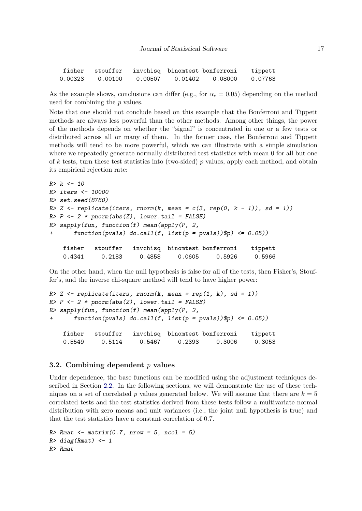|         |         |         |         | fisher stouffer invchisq binomtest bonferroni | tippett |
|---------|---------|---------|---------|-----------------------------------------------|---------|
| 0.00323 | 0.00100 | 0.00507 | 0.01402 | 0.08000                                       | 0.07763 |

As the example shows, conclusions can differ (e.g., for  $\alpha_c = 0.05$ ) depending on the method used for combining the *p* values.

Note that one should not conclude based on this example that the Bonferroni and Tippett methods are always less powerful than the other methods. Among other things, the power of the methods depends on whether the "signal" is concentrated in one or a few tests or distributed across all or many of them. In the former case, the Bonferroni and Tippett methods will tend to be more powerful, which we can illustrate with a simple simulation where we repeatedly generate normally distributed test statistics with mean 0 for all but one of *k* tests, turn these test statistics into (two-sided) *p* values, apply each method, and obtain its empirical rejection rate:

```
R > k < -10R> iters <- 10000
R> set.seed(8780)
R> Z \leftarrow \text{replicate}(iters, \text{norm}(k, \text{mean} = c(3, \text{rep}(0, k - 1)), \text{sd} = 1))R > P \leftarrow 2 * pnorm(abs(Z), lower.tail = FALSE)R> sapply(fun, function(f) mean(apply(P, 2,
+ function(pvals) do.call(f, list(p = pvals))$p) \leq 0.05))
    fisher stouffer invchisq binomtest bonferroni tippett
    0.4341 0.2183 0.4858 0.0605 0.5926 0.5966
```
On the other hand, when the null hypothesis is false for all of the tests, then Fisher's, Stouffer's, and the inverse chi-square method will tend to have higher power:

```
R > Z \leftarrow \text{replicate}(iters, \text{norm}(k, \text{mean} = \text{rep}(1, k), \text{sd} = 1))R > P \leftarrow 2 * pnorm(abs(Z), lower.tail = FALSE)R> sapply(fun, function(f) mean(apply(P, 2,
+ function(pvals) do.call(f, list(p = pvals))\phi) <= 0.05))
    fisher stouffer invchisq binomtest bonferroni tippett
```
0.5549 0.5114 0.5467 0.2393 0.3006 0.3053

#### **3.2. Combining dependent** *p* **values**

Under dependence, the base functions can be modified using the adjustment techniques described in Section [2.2.](#page-5-0) In the following sections, we will demonstrate the use of these techniques on a set of correlated *p* values generated below. We will assume that there are  $k = 5$ correlated tests and the test statistics derived from these tests follow a multivariate normal distribution with zero means and unit variances (i.e., the joint null hypothesis is true) and that the test statistics have a constant correlation of 0.7.

```
R Rmat \leq matrix(0.7, nrow = 5, ncol = 5)
R > diag(Rmat) <- 1
R> Rmat
```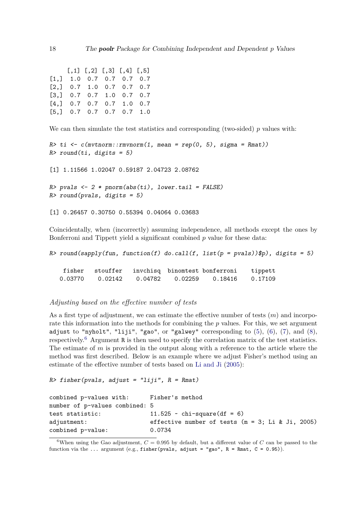|                            | $\left[1, 1\right]$ $\left[1, 2\right]$ $\left[1, 3\right]$ $\left[1, 4\right]$ $\left[1, 5\right]$ |  |  |
|----------------------------|-----------------------------------------------------------------------------------------------------|--|--|
| $[1,]$ 1.0 0.7 0.7 0.7 0.7 |                                                                                                     |  |  |
| $[2,]$ 0.7 1.0 0.7 0.7 0.7 |                                                                                                     |  |  |
| $[3,]$ 0.7 0.7 1.0 0.7 0.7 |                                                                                                     |  |  |
| $[4,]$ 0.7 0.7 0.7 1.0 0.7 |                                                                                                     |  |  |
| $[5,]$ 0.7 0.7 0.7 0.7 1.0 |                                                                                                     |  |  |

We can then simulate the test statistics and corresponding (two-sided) *p* values with:

```
R> ti <- c(mvtnorm::rmvnorm(1, mean = rep(0, 5), sigma = Rmat))
R> round(ti, digits = 5)
[1] 1.11566 1.02047 0.59187 2.04723 2.08762
```

```
R> pvals <- 2 * pnorm(abs(ti), lower.tail = FALSE)
R> round(pvals, digits = 5)
```
[1] 0.26457 0.30750 0.55394 0.04064 0.03683

Coincidentally, when (incorrectly) assuming independence, all methods except the ones by Bonferroni and Tippett yield a significant combined *p* value for these data:

 $R$ > round(sapply(fun, function(f) do.call(f, list(p = pvals)) $\hat{p}$ p), digits = 5)

|         |         |         |         | fisher stouffer invchisq binomtest bonferroni | tippett |
|---------|---------|---------|---------|-----------------------------------------------|---------|
| 0.03770 | 0.02142 | 0.04782 | 0.02259 | 0.18416                                       | 0.17109 |

#### *Adjusting based on the effective number of tests*

As a first type of adjustment, we can estimate the effective number of tests (*m*) and incorporate this information into the methods for combining the *p* values. For this, we set argument adjust to "nyholt", "liji", "gao", or "galwey" corresponding to  $(5)$ ,  $(6)$ ,  $(7)$ , and  $(8)$ , respectively.[6](#page-17-0) Argument R is then used to specify the correlation matrix of the test statistics. The estimate of *m* is provided in the output along with a reference to the article where the method was first described. Below is an example where we adjust Fisher's method using an estimate of the effective number of tests based on [Li and Ji](#page-38-1) [\(2005\)](#page-38-1):

```
R> fisher(pvals, adjust = "liji", R = Rmat)
```

| combined p-values with: Fisher's method |                                                    |
|-----------------------------------------|----------------------------------------------------|
| number of p-values combined: 5          |                                                    |
| test statistic:                         | 11.525 $\sim$ chi-square(df = 6)                   |
| adjustment:                             | effective number of tests $(m = 3; Li & Ji, 2005)$ |
| combined p-value:                       | 0.0734                                             |

<span id="page-17-0"></span><sup>&</sup>lt;sup>6</sup>When using the Gao adjustment,  $C = 0.995$  by default, but a different value of  $C$  can be passed to the function via the ... argument (e.g., fisher(pvals, adjust = "gao",  $R = Rmat$ ,  $C = 0.95$ )).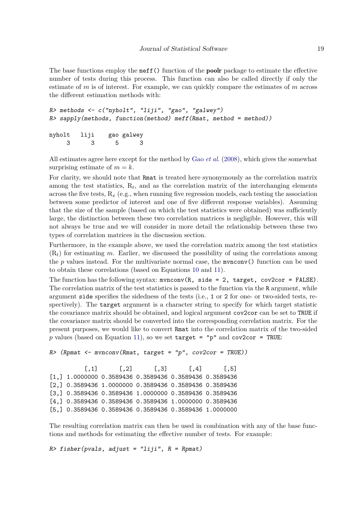The base functions employ the meff() function of the **poolr** package to estimate the effective number of tests during this process. This function can also be called directly if only the estimate of *m* is of interest. For example, we can quickly compare the estimates of *m* across the different estimation methods with:

 $R$  > methods  $\leq c$  ("nyholt", "liji", "gao", "galwey")  $R$ > sapply(methods, function(method) meff(Rmat, method = method))

```
nyholt liji gao galwey
   3 3 5 3
```
All estimates agree here except for the method by Gao *[et al.](#page-37-2)* [\(2008\)](#page-37-2), which gives the somewhat surprising estimate of  $m = k$ .

For clarity, we should note that Rmat is treated here synonymously as the correlation matrix among the test statistics,  $R_t$ , and as the correlation matrix of the interchanging elements across the five tests,  $R_x$  (e.g., when running five regression models, each testing the association between some predictor of interest and one of five different response variables). Assuming that the size of the sample (based on which the test statistics were obtained) was sufficiently large, the distinction between these two correlation matrices is negligible. However, this will not always be true and we will consider in more detail the relationship between these two types of correlation matrices in the discussion section.

Furthermore, in the example above, we used the correlation matrix among the test statistics  $(R<sub>t</sub>)$  for estimating *m*. Earlier, we discussed the possibility of using the correlations among the  $p$  values instead. For the multivariate normal case, the  $m$  normal () function can be used to obtain these correlations (based on Equations [10](#page-10-0) and [11\)](#page-10-1).

The function has the following syntax:  $m$ vnconv $(R, side = 2, target, cov2cor = FALSE)$ . The correlation matrix of the test statistics is passed to the function via the R argument, while argument side specifies the sidedness of the tests (i.e., 1 or 2 for one- or two-sided tests, respectively). The target argument is a character string to specify for which target statistic the covariance matrix should be obtained, and logical argument cov2cor can be set to TRUE if the covariance matrix should be converted into the corresponding correlation matrix. For the present purposes, we would like to convert Rmat into the correlation matrix of the two-sided *p* values (based on Equation [11\)](#page-10-1), so we set target = "p" and cov2cor = TRUE:

```
R (Rpmat \leq mvnconv(Rmat, target = "p", cov2cor = TRUE))
         [0,1] [0,2] [0,3] [0,4] [0,5][1,] 1.0000000 0.3589436 0.3589436 0.3589436 0.3589436
[2,] 0.3589436 1.0000000 0.3589436 0.3589436 0.3589436
[3,] 0.3589436 0.3589436 1.0000000 0.3589436 0.3589436
[4,] 0.3589436 0.3589436 0.3589436 1.0000000 0.3589436
```
[5,] 0.3589436 0.3589436 0.3589436 0.3589436 1.0000000

The resulting correlation matrix can then be used in combination with any of the base functions and methods for estimating the effective number of tests. For example:

```
R> fisher(pvals, adjust = "liji", R = Rpmat)
```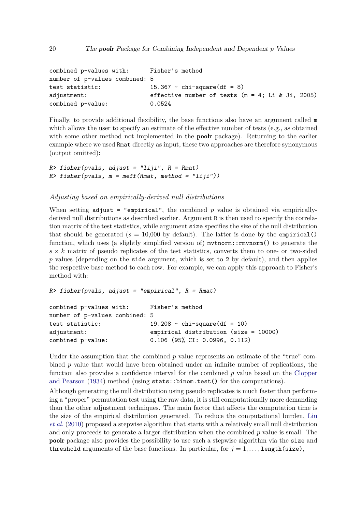```
combined p-values with: Fisher's method
number of p-values combined: 5
test statistic: 15.367 \sim \text{chi-square}(df = 8)adjustment: effective number of tests (m = 4; Li & Ji, 2005)
combined p-value: 0.0524
```
Finally, to provide additional flexibility, the base functions also have an argument called m which allows the user to specify an estimate of the effective number of tests (e.g., as obtained with some other method not implemented in the **poolr** package). Returning to the earlier example where we used Rmat directly as input, these two approaches are therefore synonymous (output omitted):

```
R> fisher(pvals, adjust = "liji", R = Rmat)
R> fisher(pvals, m = meff(Rmat, method = "liji"))
```
#### *Adjusting based on empirically-derived null distributions*

When setting  $\alpha$  just = "empirical", the combined p value is obtained via empiricallyderived null distributions as described earlier. Argument R is then used to specify the correlation matrix of the test statistics, while argument size specifies the size of the null distribution that should be generated  $(s = 10,000$  by default). The latter is done by the empirical() function, which uses (a slightly simplified version of) mvtnorm::rmvnorm() to generate the  $s \times k$  matrix of pseudo replicates of the test statistics, converts them to one- or two-sided *p* values (depending on the side argument, which is set to 2 by default), and then applies the respective base method to each row. For example, we can apply this approach to Fisher's method with:

```
R> fisher(pvals, adjust = "empirical", R = Rmat)
```

| Fisher's method                       |
|---------------------------------------|
|                                       |
| 19.208 $\sim$ chi-square(df = 10)     |
| empirical distribution (size = 10000) |
| $0.106$ (95% CI: 0.0996, 0.112)       |
|                                       |

Under the assumption that the combined p value represents an estimate of the "true" combined *p* value that would have been obtained under an infinite number of replications, the function also provides a confidence interval for the combined *p* value based on the [Clopper](#page-37-13) [and Pearson](#page-37-13) [\(1934\)](#page-37-13) method (using stats::binom.test() for the computations).

Although generating the null distribution using pseudo replicates is much faster than performing a "proper" permutation test using the raw data, it is still computationally more demanding than the other adjustment techniques. The main factor that affects the computation time is the size of the empirical distribution generated. To reduce the computational burden, [Liu](#page-39-2) *[et al.](#page-39-2)* [\(2010\)](#page-39-2) proposed a stepwise algorithm that starts with a relatively small null distribution and only proceeds to generate a larger distribution when the combined *p* value is small. The poolr package also provides the possibility to use such a stepwise algorithm via the size and threshold arguments of the base functions. In particular, for  $j = 1, \ldots, \text{length}(size)$ ,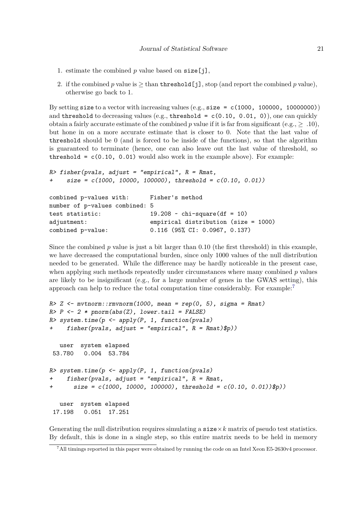- 1. estimate the combined  $p$  value based on  $size[j]$ ,
- 2. if the combined *p* value is  $\geq$  than threshold [j], stop (and report the combined *p* value), otherwise go back to 1.

By setting size to a vector with increasing values (e.g., size =  $c(1000, 100000, 10000000)$ ) and threshold to decreasing values (e.g., threshold =  $c(0.10, 0.01, 0)$ ), one can quickly obtain a fairly accurate estimate of the combined p value if it is far from significant (e.g.,  $> 0.10$ ), but hone in on a more accurate estimate that is closer to 0. Note that the last value of threshold should be 0 (and is forced to be inside of the functions), so that the algorithm is guaranteed to terminate (hence, one can also leave out the last value of threshold, so threshold =  $c(0.10, 0.01)$  would also work in the example above). For example:

```
R> fisher(pvals, adjust = "empirical", R = Rmat,
    size = c(1000, 10000, 100000), threshold = c(0.10, 0.01))
combined p-values with: Fisher's method
number of p-values combined: 5
test statistic: 19.208 \sim \text{chi-square}(df = 10)adjustment: empirical distribution (size = 1000)
combined p-value: 0.116 (95% CI: 0.0967, 0.137)
```
Since the combined *p* value is just a bit larger than 0*.*10 (the first threshold) in this example, we have decreased the computational burden, since only 1000 values of the null distribution needed to be generated. While the difference may be hardly noticeable in the present case, when applying such methods repeatedly under circumstances where many combined *p* values are likely to be insignificant (e.g., for a large number of genes in the GWAS setting), this approach can help to reduce the total computation time considerably. For example:[7](#page-20-0)

```
R> Z \leq mvtnorm::rmvnorm(1000, mean = rep(0, 5), sigma = Rmat)R> P \leq 2 * pnorm(abs(Z), lower.tail = FALSE)R> system.time(p \leq - apply(P, 1, function(pvals)
+ fisher(pvals, adjust = "empirical", R = Rmat)$p))
   user system elapsed
53.780 0.004 53.784
R> system.time(p <- apply(P, 1, function(pvals)
+ fisher(pvals, adjust = "empirical", R = Rmat,
       size = c(1000, 10000, 100000), threshold = c(0.10, 0.01))$p))
  user system elapsed
 17.198 0.051 17.251
```
Generating the null distribution requires simulating a  $size \times k$  matrix of pseudo test statistics. By default, this is done in a single step, so this entire matrix needs to be held in memory

<span id="page-20-0"></span><sup>7</sup>All timings reported in this paper were obtained by running the code on an Intel Xeon E5-2630v4 processor.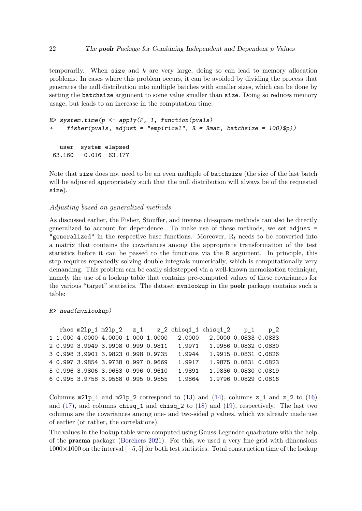temporarily. When size and *k* are very large, doing so can lead to memory allocation problems. In cases where this problem occurs, it can be avoided by dividing the process that generates the null distribution into multiple batches with smaller sizes, which can be done by setting the batchsize argument to some value smaller than size. Doing so reduces memory usage, but leads to an increase in the computation time:

```
R> system.time(p \leq - apply(P, 1, function(pvals)
     fisher(pvals, adjust = "empirical", R = Rmat, batchsize = 100)$p))
```
user system elapsed 63.160 0.016 63.177

Note that size does not need to be an even multiple of batchsize (the size of the last batch will be adjusted appropriately such that the null distribution will always be of the requested size).

#### *Adjusting based on generalized methods*

As discussed earlier, the Fisher, Stouffer, and inverse chi-square methods can also be directly generalized to account for dependence. To make use of these methods, we set adjust = "generalized" in the respective base functions. Moreover, R*<sup>t</sup>* needs to be converted into a matrix that contains the covariances among the appropriate transformation of the test statistics before it can be passed to the functions via the R argument. In principle, this step requires repeatedly solving double integrals numerically, which is computationally very demanding. This problem can be easily sidestepped via a well-known memoization technique, namely the use of a lookup table that contains pre-computed values of these covariances for the various "target" statistics. The dataset mvnlookup in the poolr package contains such a table:

R> head(mvnlookup)

|  |                                    |  | rhos m2lp_1 m2lp_2 $z_1$ $z_2$ chisq1_1 chisq1_2 $p_1$ $p_2$ |                      |                      |  |
|--|------------------------------------|--|--------------------------------------------------------------|----------------------|----------------------|--|
|  | 1 1.000 4.0000 4.0000 1.000 1.0000 |  | 2.0000                                                       | 2.0000 0.0833 0.0833 |                      |  |
|  | 2 0.999 3.9949 3.9908 0.999 0.9811 |  | 1.9971                                                       | 1.9956 0.0832 0.0830 |                      |  |
|  | 3 0.998 3.9901 3.9823 0.998 0.9735 |  | 1.9944                                                       | 1.9915 0.0831 0.0826 |                      |  |
|  | 4 0.997 3.9854 3.9738 0.997 0.9669 |  | 1.9917                                                       | 1.9875 0.0831 0.0823 |                      |  |
|  | 5 0.996 3.9806 3.9653 0.996 0.9610 |  | 1.9891                                                       |                      | 1.9836 0.0830 0.0819 |  |
|  | 6 0.995 3.9758 3.9568 0.995 0.9555 |  | 1.9864                                                       | 1.9796 0.0829 0.0816 |                      |  |

Columns  $m2lp_1$  and  $m2lp_2$  correspond to [\(13\)](#page-12-0) and [\(14\)](#page-12-1), columns  $z_1$  and  $z_2$  to [\(16\)](#page-13-3) and [\(17\)](#page-13-0), and columns chisq\_1 and chisq\_2 to [\(18\)](#page-14-2) and [\(19\)](#page-14-3), respectively. The last two columns are the covariances among one- and two-sided *p* values, which we already made use of earlier (or rather, the correlations).

The values in the lookup table were computed using Gauss-Legendre quadrature with the help of the pracma package [\(Borchers](#page-36-8) [2021\)](#page-36-8). For this, we used a very fine grid with dimensions 1000×1000 on the interval [−5*,* 5] for both test statistics. Total construction time of the lookup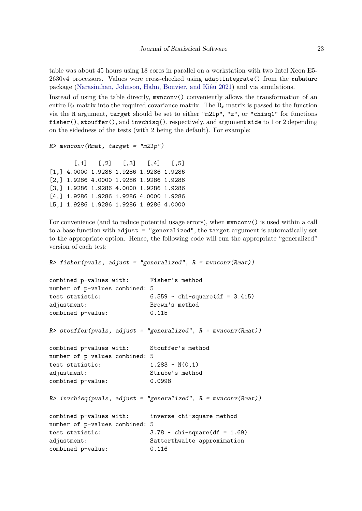table was about 45 hours using 18 cores in parallel on a workstation with two Intel Xeon E5- 2630v4 processors. Values were cross-checked using adaptIntegrate() from the cubature package [\(Narasimhan, Johnson, Hahn, Bouvier, and Kiêu](#page-39-9) [2021\)](#page-39-9) and via simulations.

Instead of using the table directly, mvnconv() conveniently allows the transformation of an entire  $R_t$  matrix into the required covariance matrix. The  $R_t$  matrix is passed to the function via the R argument, target should be set to either "m2lp", "z", or "chisq1" for functions fisher(), stouffer(), and invchisq(), respectively, and argument side to 1 or 2 depending on the sidedness of the tests (with 2 being the default). For example:

```
R mvnconv(Rmat, target = "m2lp")
```
 $[0,1]$   $[0,2]$   $[0,3]$   $[0,4]$   $[0,5]$ [1,] 4.0000 1.9286 1.9286 1.9286 1.9286 [2,] 1.9286 4.0000 1.9286 1.9286 1.9286 [3,] 1.9286 1.9286 4.0000 1.9286 1.9286 [4,] 1.9286 1.9286 1.9286 4.0000 1.9286 [5,] 1.9286 1.9286 1.9286 1.9286 4.0000

For convenience (and to reduce potential usage errors), when mvnconv() is used within a call to a base function with adjust = "generalized", the target argument is automatically set to the appropriate option. Hence, the following code will run the appropriate "generalized" version of each test:

```
R> fisher(pvals, adjust = "generalized", R = mvnconv(Rmat))
combined p-values with: Fisher's method
number of p-values combined: 5
test statistic: 6.559 - chi-square(df = 3.415)adjustment: Brown's method
combined p-value: 0.115
R> stouffer(pvals, adjust = "generalized", R = mvnconv(Rmat))
combined p-values with: Stouffer's method
number of p-values combined: 5
test statistic: 1.283 \sim N(0,1)adjustment: Strube's method
combined p-value: 0.0998
R> invchisq(pvals, adjust = "generalized", R = mvnconv(Rmat))
combined p-values with: inverse chi-square method
number of p-values combined: 5
test statistic: 3.78 \sim \text{chi-square}(df = 1.69)adjustment: Satterthwaite approximation
combined p-value: 0.116
```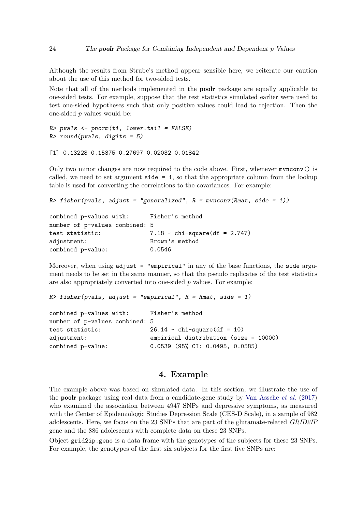Although the results from Strube's method appear sensible here, we reiterate our caution about the use of this method for two-sided tests.

Note that all of the methods implemented in the **poolr** package are equally applicable to one-sided tests. For example, suppose that the test statistics simulated earlier were used to test one-sided hypotheses such that only positive values could lead to rejection. Then the one-sided *p* values would be:

```
R> pvals <- pnorm(ti, lowertail = <math>FALSE)R> round(pvals, digits = 5)
```

```
[1] 0.13228 0.15375 0.27697 0.02032 0.01842
```
Only two minor changes are now required to the code above. First, whenever mvnconv() is called, we need to set argument  $side = 1$ , so that the appropriate column from the lookup table is used for converting the correlations to the covariances. For example:

```
R> fisher(pvals, adjust = "generalized", R = mvnconv(Rmat, side = 1))
```

```
combined p-values with: Fisher's method
number of p-values combined: 5
test statistic: 7.18 \sim \text{chi-square}(df = 2.747)adjustment: Brown's method
combined p-value: 0.0546
```
Moreover, when using adjust = "empirical" in any of the base functions, the side argument needs to be set in the same manner, so that the pseudo replicates of the test statistics are also appropriately converted into one-sided *p* values. For example:

 $R$ > fisher(pvals, adjust = "empirical",  $R$  = Rmat, side = 1)

| combined p-values with:        | Fisher's method                                |
|--------------------------------|------------------------------------------------|
| number of p-values combined: 5 |                                                |
| test statistic:                | $26.14 \sim \text{chi-square}(\text{df} = 10)$ |
| adjustment:                    | empirical distribution (size = 10000)          |
| combined p-value:              | $0.0539$ (95% CI: 0.0495, 0.0585)              |
|                                |                                                |

# **4. Example**

<span id="page-23-0"></span>The example above was based on simulated data. In this section, we illustrate the use of the poolr package using real data from a candidate-gene study by [Van Assche](#page-40-12) *et al.* [\(2017\)](#page-40-12) who examined the association between 4947 SNPs and depressive symptoms, as measured with the Center of Epidemiologic Studies Depression Scale (CES-D Scale), in a sample of 982 adolescents. Here, we focus on the 23 SNPs that are part of the glutamate-related *GRID2IP* gene and the 886 adolescents with complete data on these 23 SNPs.

Object grid2ip.geno is a data frame with the genotypes of the subjects for these 23 SNPs. For example, the genotypes of the first six subjects for the first five SNPs are: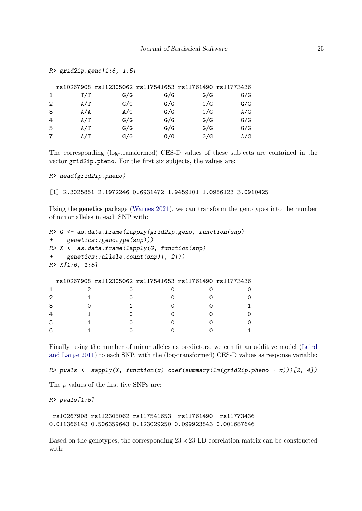```
rs10267908 rs112305062 rs117541653 rs11761490 rs11773436
1 T/T G/G G/G G/G G/G
2 A/T G/G G/G G/G G/G
3 A/A A/G G/G G/G A/G
4 A/T G/G G/G G/G G/G
5 A/T G/G G/G G/G G/G
7 A/T G/G G/G G/G A/G
```
The corresponding (log-transformed) CES-D values of these subjects are contained in the vector grid2ip.pheno. For the first six subjects, the values are:

R> head(grid2ip.pheno)

R> grid2ip.geno[1:6, 1:5]

[1] 2.3025851 2.1972246 0.6931472 1.9459101 1.0986123 3.0910425

Using the genetics package [\(Warnes](#page-40-13) [2021\)](#page-40-13), we can transform the genotypes into the number of minor alleles in each SNP with:

```
R> G <- as.data.frame(lapply(grid2ip.geno, function(snp)
+ genetics::genotype(snp)))
R > X \leftarrow as.data-frame(lapply(G, function(snp))+ genetics::allele.count(snp)[, 2]))
R> X[1:6, 1:5]
  rs10267908 rs112305062 rs117541653 rs11761490 rs11773436
```

| $\mathbf{1}$   | 2 |   | $\mathbf 0$         |
|----------------|---|---|---------------------|
| $\overline{2}$ |   |   | $\mathsf{O}\xspace$ |
| 3              |   |   | $\mathbf{1}$        |
| 4              |   | ∩ | 0                   |
| 5              |   |   | 0                   |
| 6              |   |   | $\mathbf{1}$        |

Finally, using the number of minor alleles as predictors, we can fit an additive model [\(Laird](#page-38-11) [and Lange](#page-38-11) [2011\)](#page-38-11) to each SNP, with the (log-transformed) CES-D values as response variable:

R> pvals  $\leftarrow$  sapply(X, function(x) coef(summary(lm(grid2ip.pheno  $\sim$  x)))[2, 4])

The *p* values of the first five SNPs are:

 $R$ > pvals[1:5]

rs10267908 rs112305062 rs117541653 rs11761490 rs11773436 0.011366143 0.506359643 0.123029250 0.099923843 0.001687646

Based on the genotypes, the corresponding  $23 \times 23$  LD correlation matrix can be constructed with: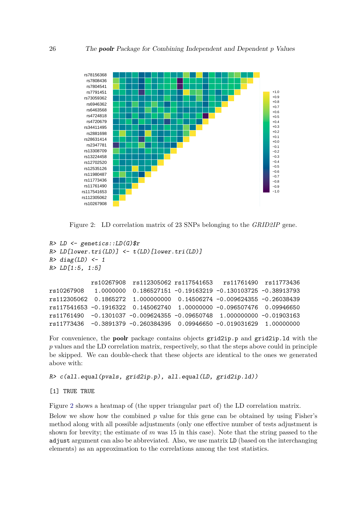

<span id="page-25-0"></span>Figure 2: LD correlation matrix of 23 SNPs belonging to the *GRID2IP* gene.

```
R > LD \leftarrow genetics::LD(G)$r
R> LD[lower.tri(LD)] \leftarrow t(LD)[lower.tri(LD)]
R > diag(LD) < -1R> LD[1:5, 1:5]
            rs10267908 rs112305062 rs117541653 rs11761490 rs11773436
rs10267908 1.0000000 0.186527151 -0.19163219 -0.130103725 -0.38913793
rs112305062 0.1865272 1.000000000 0.14506274 -0.009624355 -0.26038439
rs117541653 -0.1916322 0.145062740 1.00000000 -0.096507476 0.09946650
rs11761490 -0.1301037 -0.009624355 -0.09650748 1.000000000 -0.01903163
rs11773436 -0.3891379 -0.260384395 0.09946650 -0.019031629 1.00000000
```
For convenience, the poolr package contains objects grid2ip.p and grid2ip.ld with the *p* values and the LD correlation matrix, respectively, so that the steps above could in principle be skipped. We can double-check that these objects are identical to the ones we generated above with:

```
R> c(all.equal(pvals, grid2ip.p), all.equal(LD, grid2ip.ld))
```
#### [1] TRUE TRUE

Figure [2](#page-25-0) shows a heatmap of (the upper triangular part of) the LD correlation matrix.

Below we show how the combined *p* value for this gene can be obtained by using Fisher's method along with all possible adjustments (only one effective number of tests adjustment is shown for brevity; the estimate of *m* was 15 in this case). Note that the string passed to the adjust argument can also be abbreviated. Also, we use matrix LD (based on the interchanging elements) as an approximation to the correlations among the test statistics.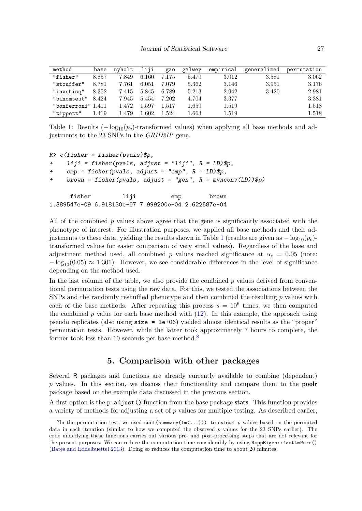| method               | base  | nyholt | liji  | gao   | galwey | empirical | generalized | permutation |
|----------------------|-------|--------|-------|-------|--------|-----------|-------------|-------------|
| "fisher"             | 8.857 | 7.849  | 6.160 | 7.175 | 5.479  | 3.012     | 3.581       | 3.062       |
| "stouffer"           | 8.781 | 7.761  | 6.051 | 7.079 | 5.362  | 3.146     | 3.951       | 3.176       |
| "invchisq"           | 8.352 | 7.415  | 5.845 | 6.789 | 5.213  | 2.942     | 3.420       | 2.981       |
| "binomtest" $8.424$  |       | 7.945  | 5.454 | 7.202 | 4.704  | 3.377     |             | 3.381       |
| "bonferroni" $1.411$ |       | 1.472  | 1.597 | 1.517 | 1.659  | 1.519     |             | 1.518       |
| "tippett"            | 1.419 | 1.479  | 1.602 | 1.524 | 1.663  | 1.519     |             | 1.518       |

<span id="page-26-1"></span>Table 1: Results  $(-\log_{10}(p_c)$ -transformed values) when applying all base methods and adjustments to the 23 SNPs in the *GRID2IP* gene.

```
R> c(fisher = fisher(pvals)$p,
+ liji = fisher(pvals, adjust = "liji", R = LD)$p,
+ emp = fisher(pvals, adjust = "emp", R = LD)$p,
+ brown = fisher(pvals, adjust = "gen", R = mvnconv(LD))$p)
     fisher liji emp brown
1.389547e-09 6.918130e-07 7.999200e-04 2.622587e-04
```
All of the combined *p* values above agree that the gene is significantly associated with the phenotype of interest. For illustration purposes, we applied all base methods and their ad-justments to these data, yielding the results shown in Table [1](#page-26-1) (results are given as  $-\log_{10}(p_c)$ transformed values for easier comparison of very small values). Regardless of the base and adjustment method used, all combined *p* values reached significance at  $\alpha_c = 0.05$  (note:  $-\log_{10}(0.05) \approx 1.301$ ). However, we see considerable differences in the level of significance depending on the method used.

In the last column of the table, we also provide the combined *p* values derived from conventional permutation tests using the raw data. For this, we tested the associations between the SNPs and the randomly reshuffled phenotype and then combined the resulting *p* values with each of the base methods. After repeating this process  $s = 10^6$  times, we then computed the combined *p* value for each base method with [\(12\)](#page-12-2). In this example, the approach using pseudo replicates (also using size = 1e+06) yielded almost identical results as the "proper" permutation tests. However, while the latter took approximately 7 hours to complete, the former took less than 10 seconds per base method.<sup>[8](#page-26-2)</sup>

# **5. Comparison with other packages**

<span id="page-26-0"></span>Several R packages and functions are already currently available to combine (dependent) p values. In this section, we discuss their functionality and compare them to the **poolr** package based on the example data discussed in the previous section.

A first option is the p.adjust() function from the base package stats. This function provides a variety of methods for adjusting a set of *p* values for multiple testing. As described earlier,

<span id="page-26-2"></span><sup>&</sup>lt;sup>8</sup>In the permutation test, we used coef(summary( $lm(...)$ ) to extract p values based on the permuted data in each iteration (similar to how we computed the observed *p* values for the 23 SNPs earlier). The code underlying these functions carries out various pre- and post-processing steps that are not relevant for the present purposes. We can reduce the computation time considerably by using RcppEigen::fastLmPure() [\(Bates and Eddelbuettel](#page-36-9) [2013\)](#page-36-9). Doing so reduces the computation time to about 20 minutes.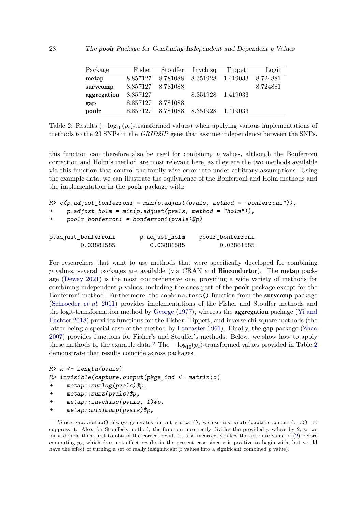| Package     | Fisher   | Stouffer | Invehisq | Tippett  | Logit    |
|-------------|----------|----------|----------|----------|----------|
| metap       | 8.857127 | 8.781088 | 8.351928 | 1.419033 | 8.724881 |
| survcomp    | 8.857127 | 8.781088 |          |          | 8.724881 |
| aggregation | 8.857127 |          | 8.351928 | 1.419033 |          |
| gap         | 8.857127 | 8.781088 |          |          |          |
| poolr       | 8.857127 | 8.781088 | 8.351928 | 1.419033 |          |

<span id="page-27-1"></span>Table 2: Results  $(-\log_{10}(p_c)$ -transformed values) when applying various implementations of methods to the 23 SNPs in the *GRID2IP* gene that assume independence between the SNPs.

this function can therefore also be used for combining *p* values, although the Bonferroni correction and Holm's method are most relevant here, as they are the two methods available via this function that control the family-wise error rate under arbitrary assumptions. Using the example data, we can illustrate the equivalence of the Bonferroni and Holm methods and the implementation in the poolr package with:

```
R> c(p.adjust bonferroni = min(p.adjust(pvals, method = "bonferroni")),
    p.addjust_holm = min(p.addjust(pvals, method = "holm")),
```

```
+ poolr_bonferroni = bonferroni(pvals)$p)
```

| p.adjust_bonferroni | p.adjust_holm | poolr_bonferroni |
|---------------------|---------------|------------------|
| 0.03881585          | 0.03881585    | 0.03881585       |

For researchers that want to use methods that were specifically developed for combining *p* values, several packages are available (via CRAN and Bioconductor). The metap package [\(Dewey](#page-37-4) [2021\)](#page-37-4) is the most comprehensive one, providing a wide variety of methods for combining independent *p* values, including the ones part of the poolr package except for the Bonferroni method. Furthermore, the combine.test() function from the survcomp package [\(Schroeder](#page-40-4) *et al.* [2011\)](#page-40-4) provides implementations of the Fisher and Stouffer methods and the logit-transformation method by [George](#page-37-5) [\(1977\)](#page-37-5), whereas the aggregation package [\(Yi and](#page-41-0) [Pachter](#page-41-0) [2018\)](#page-41-0) provides functions for the Fisher, Tippett, and inverse chi-square methods (the latter being a special case of the method by [Lancaster](#page-38-3) [1961\)](#page-38-3). Finally, the gap package [\(Zhao](#page-41-1) [2007\)](#page-41-1) provides functions for Fisher's and Stouffer's methods. Below, we show how to apply these methods to the example data.<sup>[9](#page-27-0)</sup> The  $-\log_{10}(p_c)$ -transformed values provided in Table [2](#page-27-1) demonstrate that results coincide across packages.

```
R> k <- length(pvals)
```

```
R> invisible(capture.output(pkgs ind \leq matrix(c(
```

```
+ metap::sumlog(pvals)$p,
```

```
metap::sumz(pvals)$p,
```

```
metap::invchisq(pvals, 1)$p,
```
+ metap::minimump(pvals)\$p,

<span id="page-27-0"></span><sup>&</sup>lt;sup>9</sup>Since gap::metap() always generates output via cat(), we use invisible(capture.output(...)) to suppress it. Also, for Stouffer's method, the function incorrectly divides the provided *p* values by 2, so we must double them first to obtain the correct result (it also incorrectly takes the absolute value of [\(2\)](#page-3-3) before computing  $p_c$ , which does not affect results in the present case since  $z$  is positive to begin with, but would have the effect of turning a set of really insignificant *p* values into a significant combined *p* value).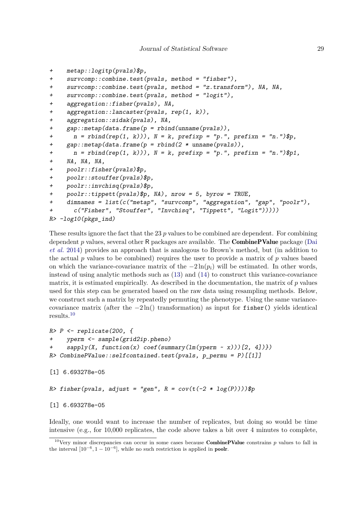```
+ metap::logitp(pvals)$p,
+ survcomp::combine.test(pvals, method = "fisher"),
+ survcomp::combine.test(pvals, method = "z.transform"), NA, NA,
     survcomp::combine.test(pvals, method = "logit").+ aggregation::fisher(pvals), NA,
+ aggregation::lancaster(pvals, rep(1, k)),
+ aggregation::sidak(pvals), NA,
     gap::method(data frame(p = rbind(numname(pvals)),n = \text{rbind}(\text{rep}(1, k))), N = k, prefixp = "p.", prefixn = "n.")$p,
+ gap::metap(data.frame(p = rbind(2 * unname(pvals)),
       n = \text{rbind}(\text{rep}(1, k))), N = k, \text{prefix} = "p.", \text{prefix} = "n.")$p1,
+ NA, NA, NA,
+ poolr::fisher(pvals)$p,
+ poolr::stouffer(pvals)$p,
     poolr::invchisq(pvals)$p,
     poolr::tippett(pvals)$p, NA), nrow = 5, byrow = TRUE,
+ dimnames = list(c("metap", "survcomp", "aggregation", "gap", "poolr"),
+ c("Fisher", "Stouffer", "Invchisq", "Tippett", "Logit")))))
R> -log10(pkgs\_ind)
```
These results ignore the fact that the 23 *p* values to be combined are dependent. For combining dependent *p* values, several other R packages are available. The CombinePValue package [\(Dai](#page-37-6) *[et al.](#page-37-6)* [2014\)](#page-37-6) provides an approach that is analogous to Brown's method, but (in addition to the actual *p* values to be combined) requires the user to provide a matrix of *p* values based on which the variance-covariance matrix of the  $-2 \ln(p_i)$  will be estimated. In other words, instead of using analytic methods such as [\(13\)](#page-12-0) and [\(14\)](#page-12-1) to construct this variance-covariance matrix, it is estimated empirically. As described in the documentation, the matrix of *p* values used for this step can be generated based on the raw data using resampling methods. Below, we construct such a matrix by repeatedly permuting the phenotype. Using the same variancecovariance matrix (after the  $-2 \ln()$  transformation) as input for fisher() yields identical results.[10](#page-28-0)

```
R> P <- replicate(200, {
+ yperm <- sample(grid2ip.pheno)
     sapply(X, function(x) coeff(summary(lm(yperm - x)))[2, 4])})R> CombinePValue::selfcontained.test(pvals, p_permu = P)[[1]]
[1] 6.693278e-05
R> fisher(pvals, adjust = "gen", R = cov(t(-2 * log(P))))$p
[1] 6.693278e-05
```
Ideally, one would want to increase the number of replicates, but doing so would be time intensive (e.g., for 10*,*000 replicates, the code above takes a bit over 4 minutes to complete,

<span id="page-28-0"></span><sup>10</sup>Very minor discrepancies can occur in some cases because CombinePValue constrains *p* values to fall in the interval  $[10^{-6}, 1 - 10^{-6}]$ , while no such restriction is applied in **poolr**.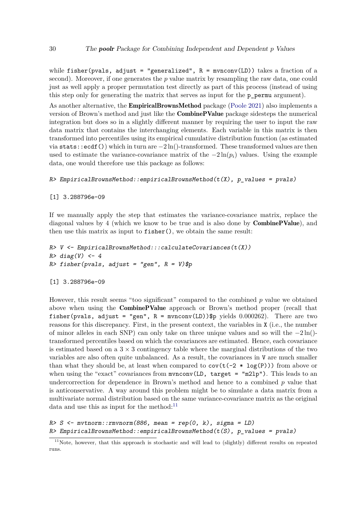while fisher(pvals, adjust = "generalized",  $R = m$ vnconv(LD)) takes a fraction of a second). Moreover, if one generates the *p* value matrix by resampling the raw data, one could just as well apply a proper permutation test directly as part of this process (instead of using this step only for generating the matrix that serves as input for the p\_permu argument).

As another alternative, the **EmpiricalBrownsMethod** package [\(Poole](#page-39-5) [2021\)](#page-39-5) also implements a version of Brown's method and just like the CombinePValue package sidesteps the numerical integration but does so in a slightly different manner by requiring the user to input the raw data matrix that contains the interchanging elements. Each variable in this matrix is then transformed into percentiles using its empirical cumulative distribution function (as estimated via stats::ecdf()) which in turn are  $-2 \ln($ )-transformed. These transformed values are then used to estimate the variance-covariance matrix of the  $-2\ln(p_i)$  values. Using the example data, one would therefore use this package as follows:

#### $R$ > EmpiricalBrownsMethod::empiricalBrownsMethod( $t(X)$ , p\_values = pvals)

[1] 3.288796e-09

If we manually apply the step that estimates the variance-covariance matrix, replace the diagonal values by 4 (which we know to be true and is also done by CombinePValue), and then use this matrix as input to fisher(), we obtain the same result:

```
R> V <- EmpiricalBrownsMethod:::calculateCovariances(t(X))
R > diag(V) <- 4
R> fisher(pvals, adjust = "gen", R = V)$p
```
[1] 3.288796e-09

However, this result seems "too significant" compared to the combined *p* value we obtained above when using the CombinePValue approach or Brown's method proper (recall that fisher(pvals, adjust = "gen",  $R =$  mvnconv(LD))\$p yields  $0.000262$ ). There are two reasons for this discrepancy. First, in the present context, the variables in X (i.e., the number of minor alleles in each SNP) can only take on three unique values and so will the  $-2 \ln($ )transformed percentiles based on which the covariances are estimated. Hence, each covariance is estimated based on a  $3 \times 3$  contingency table where the marginal distributions of the two variables are also often quite unbalanced. As a result, the covariances in V are much smaller than what they should be, at least when compared to  $cov(t(-2 * log(P)))$  from above or when using the "exact" covariances from mvnconv(LD, target = "m2lp"). This leads to an undercorrection for dependence in Brown's method and hence to a combined *p* value that is anticonservative. A way around this problem might be to simulate a data matrix from a multivariate normal distribution based on the same variance-covariance matrix as the original data and use this as input for the method: $11$ 

```
R > S <- mvtnorm::rmvnorm(886, mean = rep(0, k), sigma = LD)
R> EmpiricalBrownsMethod::empiricalBrownsMethod(t(S), p_values = pvals)
```
<span id="page-29-0"></span><sup>&</sup>lt;sup>11</sup>Note, however, that this approach is stochastic and will lead to (slightly) different results on repeated runs.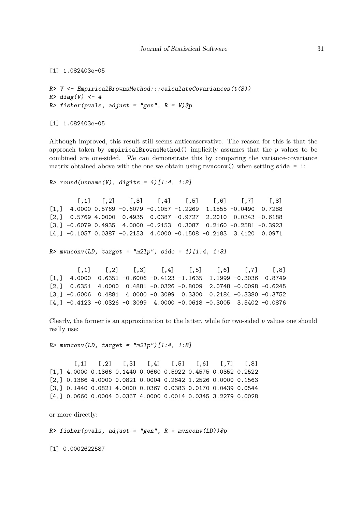```
[1] 1.082403e-05
```

```
R> V <- EmpiricalBrownsMethod:::calculateCovariances(t(S))
R > diag(V) <- 4
R> fisher(pvals, adjust = "gen", R = V)$p
```
[1] 1.082403e-05

Although improved, this result still seems anticonservative. The reason for this is that the approach taken by empiricalBrownsMethod() implicitly assumes that the *p* values to be combined are one-sided. We can demonstrate this by comparing the variance-covariance matrix obtained above with the one we obtain using  $m$  **n** $m$ **conv()** when setting  $side = 1$ :

```
R > round(unname(V), digits = 4)[1:4, 1:8]
```
 $[0,1]$   $[0,2]$   $[0,3]$   $[0,4]$   $[0,5]$   $[0,6]$   $[0,7]$   $[0,8]$ [1,] 4.0000 0.5769 -0.6079 -0.1057 -1.2269 1.1555 -0.0490 0.7288 [2,] 0.5769 4.0000 0.4935 0.0387 -0.9727 2.2010 0.0343 -0.6188 [3,] -0.6079 0.4935 4.0000 -0.2153 0.3087 0.2160 -0.2581 -0.3923 [4,] -0.1057 0.0387 -0.2153 4.0000 -0.1508 -0.2183 3.4120 0.0971

 $R$  > mvnconv(LD, target = "m21p", side = 1)[1:4, 1:8]

 $[0,1]$   $[0,2]$   $[0,3]$   $[0,4]$   $[0,5]$   $[0,6]$   $[0,7]$   $[0,8]$ [1,] 4.0000 0.6351 -0.6006 -0.4123 -1.1635 1.1999 -0.3036 0.8749 [2,] 0.6351 4.0000 0.4881 -0.0326 -0.8009 2.0748 -0.0098 -0.6245 [3,] -0.6006 0.4881 4.0000 -0.3099 0.3300 0.2184 -0.3380 -0.3752  $[4,]$  -0.4123 -0.0326 -0.3099 4.0000 -0.0618 -0.3005 3.5402 -0.0876

Clearly, the former is an approximation to the latter, while for two-sided *p* values one should really use:

 $R > m$ vnconv(LD, target = "m2lp")[1:4, 1:8]

 $[0,1]$   $[0,2]$   $[0,3]$   $[0,4]$   $[0,5]$   $[0,6]$   $[0,7]$   $[0,8]$ [1,] 4.0000 0.1366 0.1440 0.0660 0.5922 0.4575 0.0352 0.2522 [2,] 0.1366 4.0000 0.0821 0.0004 0.2642 1.2526 0.0000 0.1563 [3,] 0.1440 0.0821 4.0000 0.0367 0.0383 0.0170 0.0439 0.0544 [4,] 0.0660 0.0004 0.0367 4.0000 0.0014 0.0345 3.2279 0.0028

or more directly:

 $R > fisher(pvals, adjust = "gen", R = mvnconv(LD))$ 

[1] 0.0002622587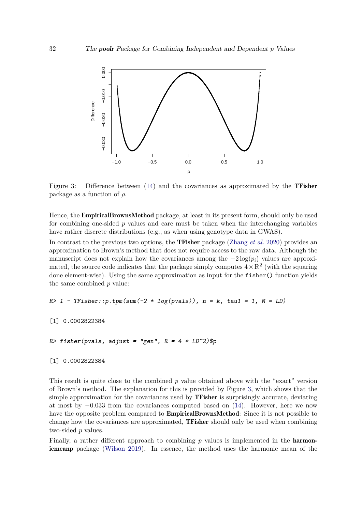

<span id="page-31-0"></span>Figure 3: Difference between [\(14\)](#page-12-1) and the covariances as approximated by the TFisher package as a function of *ρ*.

Hence, the **EmpiricalBrownsMethod** package, at least in its present form, should only be used for combining one-sided *p* values and care must be taken when the interchanging variables have rather discrete distributions (e.g., as when using genotype data in GWAS).

In contrast to the previous two options, the TFisher package [\(Zhang](#page-41-2) *et al.* [2020\)](#page-41-2) provides an approximation to Brown's method that does not require access to the raw data. Although the manuscript does not explain how the covariances among the  $-2 \log(p_i)$  values are approximated, the source code indicates that the package simply computes  $4 \times R^2$  (with the squaring done element-wise). Using the same approximation as input for the fisher() function yields the same combined *p* value:

 $R> 1$  - TFisher::p.tpm(sum(-2 \* log(pvals)),  $n = k$ , tau1 = 1,  $M = LD$ )

[1] 0.0002822384

 $R$ > fisher(pvals, adjust = "gen",  $R = 4 * LD^2$ )\$p

[1] 0.0002822384

This result is quite close to the combined *p* value obtained above with the "exact" version of Brown's method. The explanation for this is provided by Figure [3,](#page-31-0) which shows that the simple approximation for the covariances used by TFisher is surprisingly accurate, deviating at most by −0*.*033 from the covariances computed based on [\(14\)](#page-12-1). However, here we now have the opposite problem compared to **EmpiricalBrownsMethod**: Since it is not possible to change how the covariances are approximated, **TFisher** should only be used when combining two-sided *p* values.

Finally, a rather different approach to combining p values is implemented in the **harmon**icmeanp package [\(Wilson](#page-40-6) [2019\)](#page-40-6). In essence, the method uses the harmonic mean of the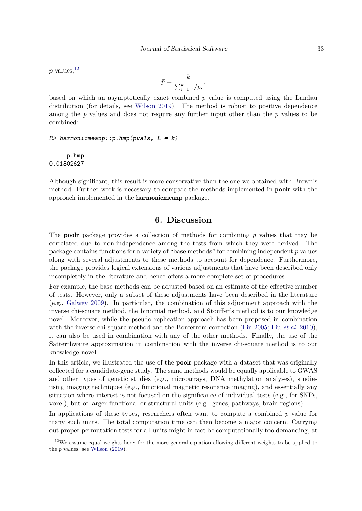$p$  values,  $12$ 

$$
\bar{p} = \frac{k}{\sum_{i=1}^k 1/p_i},
$$

based on which an asymptotically exact combined *p* value is computed using the Landau distribution (for details, see [Wilson](#page-40-6) [2019\)](#page-40-6). The method is robust to positive dependence among the *p* values and does not require any further input other than the *p* values to be combined:

```
R> harmonicmeanp::p.hmp(pvals, L = k)
```
p.hmp 0.01302627

Although significant, this result is more conservative than the one we obtained with Brown's method. Further work is necessary to compare the methods implemented in **poolr** with the approach implemented in the harmonicmeanp package.

## **6. Discussion**

<span id="page-32-0"></span>The poolr package provides a collection of methods for combining *p* values that may be correlated due to non-independence among the tests from which they were derived. The package contains functions for a variety of "base methods" for combining independent *p* values along with several adjustments to these methods to account for dependence. Furthermore, the package provides logical extensions of various adjustments that have been described only incompletely in the literature and hence offers a more complete set of procedures.

For example, the base methods can be adjusted based on an estimate of the effective number of tests. However, only a subset of these adjustments have been described in the literature (e.g., [Galwey](#page-37-3) [2009\)](#page-37-3). In particular, the combination of this adjustment approach with the inverse chi-square method, the binomial method, and Stouffer's method is to our knowledge novel. Moreover, while the pseudo replication approach has been proposed in combination with the inverse chi-square method and the Bonferroni correction [\(Lin](#page-38-2) [2005;](#page-38-2) Liu *[et al.](#page-39-2)* [2010\)](#page-39-2), it can also be used in combination with any of the other methods. Finally, the use of the Satterthwaite approximation in combination with the inverse chi-square method is to our knowledge novel.

In this article, we illustrated the use of the **poolr** package with a dataset that was originally collected for a candidate-gene study. The same methods would be equally applicable to GWAS and other types of genetic studies (e.g., microarrays, DNA methylation analyses), studies using imaging techniques (e.g., functional magnetic resonance imaging), and essentially any situation where interest is not focused on the significance of individual tests (e.g., for SNPs, voxel), but of larger functional or structural units (e.g., genes, pathways, brain regions).

In applications of these types, researchers often want to compute a combined *p* value for many such units. The total computation time can then become a major concern. Carrying out proper permutation tests for all units might in fact be computationally too demanding, at

<span id="page-32-1"></span><sup>&</sup>lt;sup>12</sup>We assume equal weights here; for the more general equation allowing different weights to be applied to the *p* values, see [Wilson](#page-40-6) [\(2019\)](#page-40-6).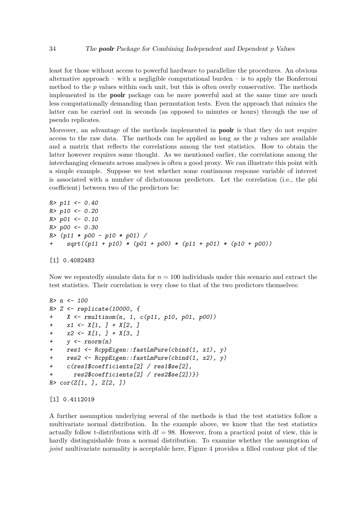least for those without access to powerful hardware to parallelize the procedures. An obvious alternative approach – with a negligible computational burden – is to apply the Bonferroni method to the  $p$  values within each unit, but this is often overly conservative. The methods implemented in the poolr package can be more powerful and at the same time are much less computationally demanding than permutation tests. Even the approach that mimics the latter can be carried out in seconds (as opposed to minutes or hours) through the use of pseudo replicates.

Moreover, an advantage of the methods implemented in **poolr** is that they do not require access to the raw data. The methods can be applied as long as the *p* values are available and a matrix that reflects the correlations among the test statistics. How to obtain the latter however requires some thought. As we mentioned earlier, the correlations among the interchanging elements across analyses is often a good proxy. We can illustrate this point with a simple example. Suppose we test whether some continuous response variable of interest is associated with a number of dichotomous predictors. Let the correlation (i.e., the phi coefficient) between two of the predictors be:

```
R > p11 <- 0.40
R > p10 \le -0.20R > p01 <- 0.10
R> p00 <- 0.30
R> (p11 * p00 - p10 * p01) /
+ sqrt((p11 + p10) * (p01 + p00) * (p11 + p01) * (p10 + p00))
```

```
[1] 0.4082483
```
Now we repeatedly simulate data for  $n = 100$  individuals under this scenario and extract the test statistics. Their correlation is very close to that of the two predictors themselves:

```
R > n < - 100R > Z \leftarrow \text{replicate}(10000, \ \{+ X <- rmultinom(n, 1, c(p11, p10, p01, p00))
     x1 \leftarrow X[1, J + X[2, J]x2 \leftarrow X[1, J + X[3, J]+ y \leftarrow \text{norm}(n)+ res1 <- RcppEigen::fastLmPure(cbind(1, x1), y)
     res2 \leq RcppEigen::fastLmPure(cbind(1, x2), y)
+ c(res1$coefficients[2] / res1$se[2],
        res2$coefficients[2] / res2$se[2])\})R > cor(Z[1, 1, Z[2, 1])
```

```
[1] 0.4112019
```
A further assumption underlying several of the methods is that the test statistics follow a multivariate normal distribution. In the example above, we know that the test statistics actually follow t-distributions with  $df = 98$ . However, from a practical point of view, this is hardly distinguishable from a normal distribution. To examine whether the assumption of *joint* multivariate normality is acceptable here, Figure [4](#page-34-0) provides a filled contour plot of the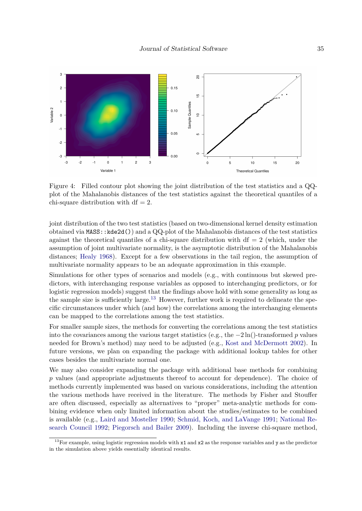

<span id="page-34-0"></span>Figure 4: Filled contour plot showing the joint distribution of the test statistics and a QQplot of the Mahalanobis distances of the test statistics against the theoretical quantiles of a chi-square distribution with  $df = 2$ .

joint distribution of the two test statistics (based on two-dimensional kernel density estimation obtained via  $MASS: :kde2d()$  and a QQ-plot of the Mahalanobis distances of the test statistics against the theoretical quantiles of a chi-square distribution with  $df = 2$  (which, under the assumption of joint multivariate normality, is the asymptotic distribution of the Mahalanobis distances; [Healy](#page-38-13) [1968\)](#page-38-13). Except for a few observations in the tail region, the assumption of multivariate normality appears to be an adequate approximation in this example.

Simulations for other types of scenarios and models (e.g., with continuous but skewed predictors, with interchanging response variables as opposed to interchanging predictors, or for logistic regression models) suggest that the findings above hold with some generality as long as the sample size is sufficiently large.[13](#page-34-1) However, further work is required to delineate the specific circumstances under which (and how) the correlations among the interchanging elements can be mapped to the correlations among the test statistics.

For smaller sample sizes, the methods for converting the correlations among the test statistics into the covariances among the various target statistics (e.g., the −2 ln()-transformed *p* values needed for Brown's method) may need to be adjusted (e.g., [Kost and McDermott](#page-38-12) [2002\)](#page-38-12). In future versions, we plan on expanding the package with additional lookup tables for other cases besides the multivariate normal one.

We may also consider expanding the package with additional base methods for combining *p* values (and appropriate adjustments thereof to account for dependence). The choice of methods currently implemented was based on various considerations, including the attention the various methods have received in the literature. The methods by Fisher and Stouffer are often discussed, especially as alternatives to "proper" meta-analytic methods for combining evidence when only limited information about the studies/estimates to be combined is available (e.g., [Laird and Mosteller](#page-38-14) [1990;](#page-38-14) [Schmid, Koch, and LaVange](#page-39-10) [1991;](#page-39-10) [National Re](#page-39-11)[search Council](#page-39-11) [1992;](#page-39-11) [Piegorsch and Bailer](#page-39-12) [2009\)](#page-39-12). Including the inverse chi-square method,

<span id="page-34-1"></span><sup>&</sup>lt;sup>13</sup>For example, using logistic regression models with  $x1$  and  $x2$  as the response variables and y as the predictor in the simulation above yields essentially identical results.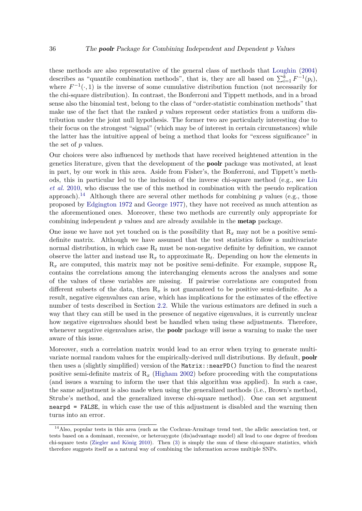these methods are also representative of the general class of methods that [Loughin](#page-39-13) [\(2004\)](#page-39-13) describes as "quantile combination methods", that is, they are all based on  $\sum_{i=1}^{k} F^{-1}(p_i)$ , where  $F^{-1}(\cdot,1)$  is the inverse of some cumulative distribution function (not necessarily for the chi-square distribution). In contrast, the Bonferroni and Tippett methods, and in a broad sense also the binomial test, belong to the class of "order-statistic combination methods" that make use of the fact that the ranked *p* values represent order statistics from a uniform distribution under the joint null hypothesis. The former two are particularly interesting due to their focus on the strongest "signal" (which may be of interest in certain circumstances) while the latter has the intuitive appeal of being a method that looks for "excess significance" in the set of *p* values.

Our choices were also influenced by methods that have received heightened attention in the genetics literature, given that the development of the poolr package was motivated, at least in part, by our work in this area. Aside from Fisher's, the Bonferroni, and Tippett's methods, this in particular led to the inclusion of the inverse chi-square method (e.g., see [Liu](#page-39-2) *[et al.](#page-39-2)* [2010,](#page-39-2) who discuss the use of this method in combination with the pseudo replication approach).<sup>[14](#page-35-0)</sup> Although there are several other methods for combining  $p$  values (e.g., those proposed by [Edgington](#page-37-14) [1972](#page-37-14) and [George](#page-37-5) [1977\)](#page-37-5), they have not received as much attention as the aforementioned ones. Moreover, these two methods are currently only appropriate for combining independent *p* values and are already available in the metap package.

One issue we have not yet touched on is the possibility that  $R_x$  may not be a positive semidefinite matrix. Although we have assumed that the test statistics follow a multivariate normal distribution, in which case R*<sup>t</sup>* must be non-negative definite by definition, we cannot observe the latter and instead use  $R_x$  to approximate  $R_t$ . Depending on how the elements in  $R_x$  are computed, this matrix may not be positive semi-definite. For example, suppose  $R_x$ contains the correlations among the interchanging elements across the analyses and some of the values of these variables are missing. If pairwise correlations are computed from different subsets of the data, then  $R_x$  is not guaranteed to be positive semi-definite. As a result, negative eigenvalues can arise, which has implications for the estimates of the effective number of tests described in Section [2.2.](#page-5-0) While the various estimators are defined in such a way that they can still be used in the presence of negative eigenvalues, it is currently unclear how negative eigenvalues should best be handled when using these adjustments. Therefore, whenever negative eigenvalues arise, the **poolr** package will issue a warning to make the user aware of this issue.

Moreover, such a correlation matrix would lead to an error when trying to generate multivariate normal random values for the empirically-derived null distributions. By default, poolr then uses a (slightly simplified) version of the Matrix::nearPD() function to find the nearest positive semi-definite matrix of R*<sup>x</sup>* [\(Higham](#page-38-15) [2002\)](#page-38-15) before proceeding with the computations (and issues a warning to inform the user that this algorithm was applied). In such a case, the same adjustment is also made when using the generalized methods (i.e., Brown's method, Strube's method, and the generalized inverse chi-square method). One can set argument nearpd = FALSE, in which case the use of this adjustment is disabled and the warning then turns into an error.

<span id="page-35-0"></span><sup>14</sup>Also, popular tests in this area (such as the Cochran-Armitage trend test, the allelic association test, or tests based on a dominant, recessive, or heterozygote (dis)advantage model) all lead to one degree of freedom chi-square tests [\(Ziegler and König](#page-41-3) [2010\)](#page-41-3). Then [\(3\)](#page-3-2) is simply the sum of these chi-square statistics, which therefore suggests itself as a natural way of combining the information across multiple SNPs.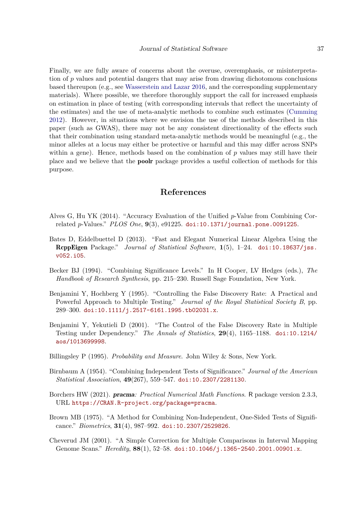Finally, we are fully aware of concerns about the overuse, overemphasis, or misinterpretation of *p* values and potential dangers that may arise from drawing dichotomous conclusions based thereupon (e.g., see [Wasserstein and Lazar](#page-40-14) [2016,](#page-40-14) and the corresponding supplementary materials). Where possible, we therefore thoroughly support the call for increased emphasis on estimation in place of testing (with corresponding intervals that reflect the uncertainty of the estimates) and the use of meta-analytic methods to combine such estimates [\(Cumming](#page-37-15) [2012\)](#page-37-15). However, in situations where we envision the use of the methods described in this paper (such as GWAS), there may not be any consistent directionality of the effects such that their combination using standard meta-analytic methods would be meaningful (e.g., the minor alleles at a locus may either be protective or harmful and this may differ across SNPs within a gene). Hence, methods based on the combination of *p* values may still have their place and we believe that the poolr package provides a useful collection of methods for this purpose.

# **References**

- <span id="page-36-1"></span>Alves G, Hu YK (2014). "Accuracy Evaluation of the Unified *p*-Value from Combining Correlated *p*-Values." *PLOS One*, **9**(3), e91225. [doi:10.1371/journal.pone.0091225](https://doi.org/10.1371/journal.pone.0091225).
- <span id="page-36-9"></span>Bates D, Eddelbuettel D (2013). "Fast and Elegant Numerical Linear Algebra Using the RcppEigen Package." *Journal of Statistical Software*, **1**(5), 1–24. [doi:10.18637/jss.](https://doi.org/10.18637/jss.v052.i05) [v052.i05](https://doi.org/10.18637/jss.v052.i05).
- <span id="page-36-0"></span>Becker BJ (1994). "Combining Significance Levels." In H Cooper, LV Hedges (eds.), *The Handbook of Research Synthesis*, pp. 215–230. Russell Sage Foundation, New York.
- <span id="page-36-4"></span>Benjamini Y, Hochberg Y (1995). "Controlling the False Discovery Rate: A Practical and Powerful Approach to Multiple Testing." *Journal of the Royal Statistical Society B*, pp. 289–300. [doi:10.1111/j.2517-6161.1995.tb02031.x](https://doi.org/10.1111/j.2517-6161.1995.tb02031.x).
- <span id="page-36-5"></span>Benjamini Y, Yekutieli D (2001). "The Control of the False Discovery Rate in Multiple Testing under Dependency." *The Annals of Statistics*, **29**(4), 1165–1188. [doi:10.1214/](https://doi.org/10.1214/aos/1013699998) [aos/1013699998](https://doi.org/10.1214/aos/1013699998).
- <span id="page-36-7"></span>Billingsley P (1995). *Probability and Measure*. John Wiley & Sons, New York.
- <span id="page-36-6"></span>Birnbaum A (1954). "Combining Independent Tests of Significance." *Journal of the American Statistical Association*, **49**(267), 559–547. [doi:10.2307/2281130](https://doi.org/10.2307/2281130).
- <span id="page-36-8"></span>Borchers HW (2021). pracma*: Practical Numerical Math Functions*. R package version 2.3.3, URL <https://CRAN.R-project.org/package=pracma>.
- <span id="page-36-2"></span>Brown MB (1975). "A Method for Combining Non-Independent, One-Sided Tests of Significance." *Biometrics*, **31**(4), 987–992. [doi:10.2307/2529826](https://doi.org/10.2307/2529826).
- <span id="page-36-3"></span>Cheverud JM (2001). "A Simple Correction for Multiple Comparisons in Interval Mapping Genome Scans." *Heredity*, **88**(1), 52–58. [doi:10.1046/j.1365-2540.2001.00901.x](https://doi.org/10.1046/j.1365-2540.2001.00901.x).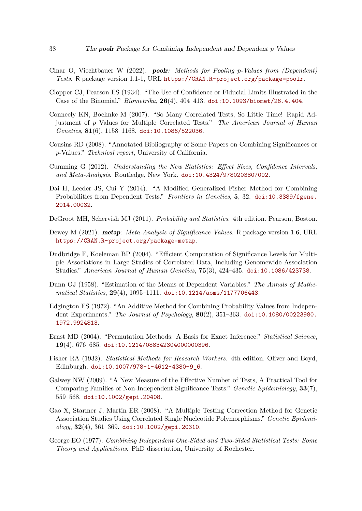- <span id="page-37-12"></span>Cinar O, Viechtbauer W (2022). poolr*: Methods for Pooling p-Values from (Dependent) Tests*. R package version 1.1-1, URL <https://CRAN.R-project.org/package=poolr>.
- <span id="page-37-13"></span>Clopper CJ, Pearson ES (1934). "The Use of Confidence or Fiducial Limits Illustrated in the Case of the Binomial." *Biometrika*, **26**(4), 404–413. [doi:10.1093/biomet/26.4.404](https://doi.org/10.1093/biomet/26.4.404).
- <span id="page-37-11"></span>Conneely KN, Boehnke M (2007). "So Many Correlated Tests, So Little Time! Rapid Adjustment of *p* Values for Multiple Correlated Tests." *The American Journal of Human Genetics*, **81**(6), 1158–1168. [doi:10.1086/522036](https://doi.org/10.1086/522036).
- <span id="page-37-1"></span>Cousins RD (2008). "Annotated Bibliography of Some Papers on Combining Significances or *p*-Values." *Technical report*, University of California.
- <span id="page-37-15"></span>Cumming G (2012). *Understanding the New Statistics: Effect Sizes, Confidence Intervals, and Meta-Analysis*. Routledge, New York. [doi:10.4324/9780203807002](https://doi.org/10.4324/9780203807002).
- <span id="page-37-6"></span>Dai H, Leeder JS, Cui Y (2014). "A Modified Generalized Fisher Method for Combining Probabilities from Dependent Tests." *Frontiers in Genetics*, **5**, 32. [doi:10.3389/fgene.](https://doi.org/10.3389/fgene.2014.00032) [2014.00032](https://doi.org/10.3389/fgene.2014.00032).
- <span id="page-37-9"></span>DeGroot MH, Schervish MJ (2011). *Probability and Statistics*. 4th edition. Pearson, Boston.
- <span id="page-37-4"></span>Dewey M (2021). metap*: Meta-Analysis of Significance Values*. R package version 1.6, URL <https://CRAN.R-project.org/package=metap>.
- <span id="page-37-8"></span>Dudbridge F, Koeleman BP (2004). "Efficient Computation of Significance Levels for Multiple Associations in Large Studies of Correlated Data, Including Genomewide Association Studies." *American Journal of Human Genetics*, **75**(3), 424–435. [doi:10.1086/423738](https://doi.org/10.1086/423738).
- <span id="page-37-7"></span>Dunn OJ (1958). "Estimation of the Means of Dependent Variables." *The Annals of Mathematical Statistics*, **29**(4), 1095–1111. [doi:10.1214/aoms/1177706443](https://doi.org/10.1214/aoms/1177706443).
- <span id="page-37-14"></span>Edgington ES (1972). "An Additive Method for Combining Probability Values from Independent Experiments." *The Journal of Psychology*, **80**(2), 351–363. [doi:10.1080/00223980.](https://doi.org/10.1080/00223980.1972.9924813) [1972.9924813](https://doi.org/10.1080/00223980.1972.9924813).
- <span id="page-37-10"></span>Ernst MD (2004). "Permutation Methods: A Basis for Exact Inference." *Statistical Science*, **19**(4), 676–685. [doi:10.1214/088342304000000396](https://doi.org/10.1214/088342304000000396).
- <span id="page-37-0"></span>Fisher RA (1932). *Statistical Methods for Research Workers*. 4th edition. Oliver and Boyd, Edinburgh. [doi:10.1007/978-1-4612-4380-9\\_6](https://doi.org/10.1007/978-1-4612-4380-9_6).
- <span id="page-37-3"></span>Galwey NW (2009). "A New Measure of the Effective Number of Tests, A Practical Tool for Comparing Families of Non-Independent Significance Tests." *Genetic Epidemiology*, **33**(7), 559–568. [doi:10.1002/gepi.20408](https://doi.org/10.1002/gepi.20408).
- <span id="page-37-2"></span>Gao X, Starmer J, Martin ER (2008). "A Multiple Testing Correction Method for Genetic Association Studies Using Correlated Single Nucleotide Polymorphisms." *Genetic Epidemiology*, **32**(4), 361–369. [doi:10.1002/gepi.20310](https://doi.org/10.1002/gepi.20310).
- <span id="page-37-5"></span>George EO (1977). *Combining Independent One-Sided and Two-Sided Statistical Tests: Some Theory and Applications*. PhD dissertation, University of Rochester.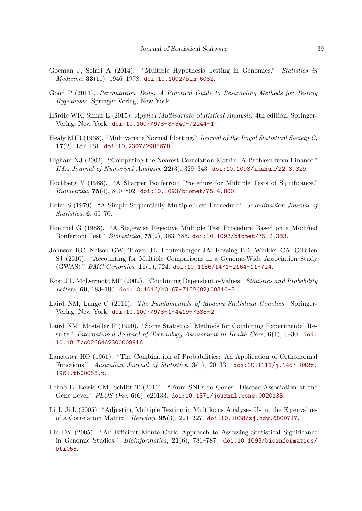- <span id="page-38-4"></span>Goeman J, Solari A (2014). "Multiple Hypothesis Testing in Genomics." *Statistics in Medicine*, **33**(11), 1946–1978. [doi:10.1002/sim.6082](https://doi.org/10.1002/sim.6082).
- <span id="page-38-9"></span>Good P (2013). *Permutation Tests: A Practical Guide to Resampling Methods for Testing Hypothesis*. Springer-Verlag, New York.
- <span id="page-38-8"></span>Härdle WK, Simar L (2015). *Applied Multivariate Statistical Analysis*. 4th edition. Springer-Verlag, New York. [doi:10.1007/978-3-540-72244-1](https://doi.org/10.1007/978-3-540-72244-1).
- <span id="page-38-13"></span>Healy MJR (1968). "Multivariate Normal Plotting." *Journal of the Royal Statistical Society C*, **17**(2), 157–161. [doi:10.2307/2985678](https://doi.org/10.2307/2985678).
- <span id="page-38-15"></span>Higham NJ (2002). "Computing the Nearest Correlation Matrix: A Problem from Finance." *IMA Journal of Numerical Analysis*, **22**(3), 329–343. [doi:10.1093/imanum/22.3.329](https://doi.org/10.1093/imanum/22.3.329).
- <span id="page-38-6"></span>Hochberg Y (1988). "A Sharper Bonferroni Procedure for Multiple Tests of Significance." *Biometrika*, **75**(4), 800–802. [doi:10.1093/biomet/75.4.800](https://doi.org/10.1093/biomet/75.4.800).
- <span id="page-38-5"></span>Holm S (1979). "A Simple Sequentially Multiple Test Procedure." *Scandinavian Journal of Statistics*, **6**, 65–70.
- <span id="page-38-7"></span>Hommel G (1988). "A Stagewise Rejective Multiple Test Procedure Based on a Modified Bonferroni Test." *Biometrika*, **75**(2), 383–386. [doi:10.1093/biomet/75.2.383](https://doi.org/10.1093/biomet/75.2.383).
- <span id="page-38-10"></span>Johnson RC, Nelson GW, Troyer JL, Lautenberger JA, Kessing BD, Winkler CA, O'Brien SJ (2010). "Accounting for Multiple Comparisons in a Genome-Wide Association Study (GWAS)." *BMC Genomics*, **11**(1), 724. [doi:10.1186/1471-2164-11-724](https://doi.org/10.1186/1471-2164-11-724).
- <span id="page-38-12"></span>Kost JT, McDermott MP (2002). "Combining Dependent *p*-Values." *Statistics and Probability Letters*, **60**, 183–190. [doi:10.1016/s0167-7152\(02\)00310-3](https://doi.org/10.1016/s0167-7152(02)00310-3).
- <span id="page-38-11"></span>Laird NM, Lange C (2011). *The Fundamentals of Modern Statistical Genetics*. Springer-Verlag, New York. [doi:10.1007/978-1-4419-7338-2](https://doi.org/10.1007/978-1-4419-7338-2).
- <span id="page-38-14"></span>Laird NM, Mosteller F (1990). "Some Statistical Methods for Combining Experimental Results." *International Journal of Technology Assessment in Health Care*, **6**(1), 5–30. [doi:](https://doi.org/10.1017/s0266462300008916) [10.1017/s0266462300008916](https://doi.org/10.1017/s0266462300008916).
- <span id="page-38-3"></span>Lancaster HO (1961). "The Combination of Probabilities: An Application of Orthonormal Functions." *Australian Journal of Statistics*, **3**(1), 20–33. [doi:10.1111/j.1467-842x.](https://doi.org/10.1111/j.1467-842x.1961.tb00058.x) [1961.tb00058.x](https://doi.org/10.1111/j.1467-842x.1961.tb00058.x).
- <span id="page-38-0"></span>Lehne B, Lewis CM, Schlitt T (2011). "From SNPs to Genes: Disease Association at the Gene Level." *PLOS One*, **6**(6), e20133. [doi:10.1371/journal.pone.0020133](https://doi.org/10.1371/journal.pone.0020133).
- <span id="page-38-1"></span>Li J, Ji L (2005). "Adjusting Multiple Testing in Multilocus Analyses Using the Eigenvalues of a Correlation Matrix." *Heredity*, **95**(3), 221–227. [doi:10.1038/sj.hdy.6800717](https://doi.org/10.1038/sj.hdy.6800717).
- <span id="page-38-2"></span>Lin DY (2005). "An Efficient Monte Carlo Approach to Assessing Statistical Significance in Genomic Studies." *Bioinformatics*, **21**(6), 781–787. [doi:10.1093/bioinformatics/](https://doi.org/10.1093/bioinformatics/bti053) [bti053](https://doi.org/10.1093/bioinformatics/bti053).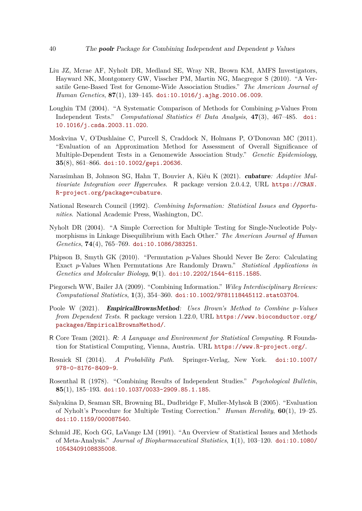- <span id="page-39-2"></span>Liu JZ, Mcrae AF, Nyholt DR, Medland SE, Wray NR, Brown KM, AMFS Investigators, Hayward NK, Montgomery GW, Visscher PM, Martin NG, Macgregor S (2010). "A Versatile Gene-Based Test for Genome-Wide Association Studies." *The American Journal of Human Genetics*, **87**(1), 139–145. [doi:10.1016/j.ajhg.2010.06.009](https://doi.org/10.1016/j.ajhg.2010.06.009).
- <span id="page-39-13"></span>Loughin TM (2004). "A Systematic Comparison of Methods for Combining *p*-Values From Independent Tests." *Computational Statistics & Data Analysis*, **47**(3), 467–485. [doi:](https://doi.org/10.1016/j.csda.2003.11.020) [10.1016/j.csda.2003.11.020](https://doi.org/10.1016/j.csda.2003.11.020).
- <span id="page-39-3"></span>Moskvina V, O'Dushlaine C, Purcell S, Craddock N, Holmans P, O'Donovan MC (2011). "Evaluation of an Approximation Method for Assessment of Overall Significance of Multiple-Dependent Tests in a Genomewide Association Study." *Genetic Epidemiology*, **35**(8), 861–866. [doi:10.1002/gepi.20636](https://doi.org/10.1002/gepi.20636).
- <span id="page-39-9"></span>Narasimhan B, Johnson SG, Hahn T, Bouvier A, Kiêu K (2021). cubature*: Adaptive Multivariate Integration over Hypercubes*. R package version 2.0.4.2, URL [https://CRAN.](https://CRAN.R-project.org/package=cubature) [R-project.org/package=cubature](https://CRAN.R-project.org/package=cubature).
- <span id="page-39-11"></span>National Research Council (1992). *Combining Information: Statistical Issues and Opportunities*. National Academic Press, Washington, DC.
- <span id="page-39-1"></span>Nyholt DR (2004). "A Simple Correction for Multiple Testing for Single-Nucleotide Polymorphisms in Linkage Disequilibrium with Each Other." *The American Journal of Human Genetics*, **74**(4), 765–769. [doi:10.1086/383251](https://doi.org/10.1086/383251).
- <span id="page-39-7"></span>Phipson B, Smyth GK (2010). "Permutation *p*-Values Should Never Be Zero: Calculating Exact *p*-Values When Permutations Are Randomly Drawn." *Statistical Applications in Genetics and Molecular Biology*, **9**(1). [doi:10.2202/1544-6115.1585](https://doi.org/10.2202/1544-6115.1585).
- <span id="page-39-12"></span>Piegorsch WW, Bailer JA (2009). "Combining Information." *Wiley Interdisciplinary Reviews: Computational Statistics*, **1**(3), 354–360. [doi:10.1002/9781118445112.stat03704](https://doi.org/10.1002/9781118445112.stat03704).
- <span id="page-39-5"></span>Poole W (2021). EmpiricalBrownsMethod*: Uses Brown's Method to Combine p-Values from Dependent Tests*. R package version 1.22.0, URL [https://www.bioconductor.org/](https://www.bioconductor.org/packages/EmpiricalBrownsMethod/) [packages/EmpiricalBrownsMethod/](https://www.bioconductor.org/packages/EmpiricalBrownsMethod/).
- <span id="page-39-4"></span>R Core Team (2021). R*: A Language and Environment for Statistical Computing*. R Foundation for Statistical Computing, Vienna, Austria. URL <https://www.R-project.org/>.
- <span id="page-39-8"></span>Resnick SI (2014). *A Probability Path*. Springer-Verlag, New York. [doi:10.1007/](https://doi.org/10.1007/978-0-8176-8409-9) [978-0-8176-8409-9](https://doi.org/10.1007/978-0-8176-8409-9).
- <span id="page-39-0"></span>Rosenthal R (1978). "Combining Results of Independent Studies." *Psychological Bulletin*, **85**(1), 185–193. [doi:10.1037/0033-2909.85.1.185](https://doi.org/10.1037/0033-2909.85.1.185).
- <span id="page-39-6"></span>Salyakina D, Seaman SR, Browning BL, Dudbridge F, Muller-Myhsok B (2005). "Evaluation of Nyholt's Procedure for Multiple Testing Correction." *Human Heredity*, **60**(1), 19–25. [doi:10.1159/000087540](https://doi.org/10.1159/000087540).
- <span id="page-39-10"></span>Schmid JE, Koch GG, LaVange LM (1991). "An Overview of Statistical Issues and Methods of Meta-Analysis." *Journal of Biopharmaceutical Statistics*, **1**(1), 103–120. [doi:10.1080/](https://doi.org/10.1080/10543409108835008) [10543409108835008](https://doi.org/10.1080/10543409108835008).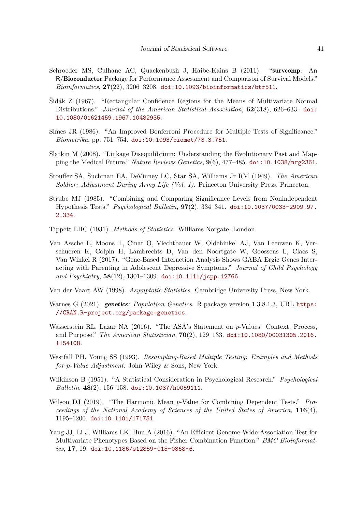- <span id="page-40-4"></span>Schroeder MS, Culhane AC, Quackenbush J, Haibe-Kains B (2011). "survcomp: An R/Bioconductor Package for Performance Assessment and Comparison of Survival Models." *Bioinformatics*, **27**(22), 3206–3208. [doi:10.1093/bioinformatics/btr511](https://doi.org/10.1093/bioinformatics/btr511).
- <span id="page-40-8"></span>Šidák Z (1967). "Rectangular Confidence Regions for the Means of Multivariate Normal Distributions." *Journal of the American Statistical Association*, **62**(318), 626–633. [doi:](https://doi.org/10.1080/01621459.1967.10482935) [10.1080/01621459.1967.10482935](https://doi.org/10.1080/01621459.1967.10482935).
- <span id="page-40-7"></span>Simes JR (1986). "An Improved Bonferroni Procedure for Multiple Tests of Significance." *Biometrika*, pp. 751–754. [doi:10.1093/biomet/73.3.751](https://doi.org/10.1093/biomet/73.3.751).
- <span id="page-40-2"></span>Slatkin M (2008). "Linkage Disequilibrium: Understanding the Evolutionary Past and Mapping the Medical Future." *Nature Reviews Genetics*, **9**(6), 477–485. [doi:10.1038/nrg2361](https://doi.org/10.1038/nrg2361).
- <span id="page-40-0"></span>Stouffer SA, Suchman EA, DeVinney LC, Star SA, Williams Jr RM (1949). *The American Soldier: Adjustment During Army Life (Vol. 1)*. Princeton University Press, Princeton.
- <span id="page-40-3"></span>Strube MJ (1985). "Combining and Comparing Significance Levels from Nonindependent Hypothesis Tests." *Psychological Bulletin*, **97**(2), 334–341. [doi:10.1037/0033-2909.97.](https://doi.org/10.1037/0033-2909.97.2.334) [2.334](https://doi.org/10.1037/0033-2909.97.2.334).
- <span id="page-40-5"></span>Tippett LHC (1931). *Methods of Statistics*. Williams Norgate, London.
- <span id="page-40-12"></span>Van Assche E, Moons T, Cinar O, Viechtbauer W, Oldehinkel AJ, Van Leeuwen K, Verschueren K, Colpin H, Lambrechts D, Van den Noortgate W, Goossens L, Claes S, Van Winkel R (2017). "Gene-Based Interaction Analysis Shows GABA Ergic Genes Interacting with Parenting in Adolescent Depressive Symptoms." *Journal of Child Psychology and Psychiatry*, **58**(12), 1301–1309. [doi:10.1111/jcpp.12766](https://doi.org/10.1111/jcpp.12766).
- <span id="page-40-9"></span>Van der Vaart AW (1998). *Asymptotic Statistics*. Cambridge University Press, New York.
- <span id="page-40-13"></span>Warnes G (2021). genetics*: Population Genetics*. R package version 1.3.8.1.3, URL [https:](https://CRAN.R-project.org/package=genetics) [//CRAN.R-project.org/package=genetics](https://CRAN.R-project.org/package=genetics).
- <span id="page-40-14"></span>Wasserstein RL, Lazar NA (2016). "The ASA's Statement on *p*-Values: Context, Process, and Purpose." *The American Statistician*, **70**(2), 129–133. [doi:10.1080/00031305.2016.](https://doi.org/10.1080/00031305.2016.1154108) [1154108](https://doi.org/10.1080/00031305.2016.1154108).
- <span id="page-40-10"></span>Westfall PH, Young SS (1993). *Resampling-Based Multiple Testing: Examples and Methods for p-Value Adjustment*. John Wiley & Sons, New York.
- <span id="page-40-1"></span>Wilkinson B (1951). "A Statistical Consideration in Psychological Research." *Psychological Bulletin*, **48**(2), 156–158. [doi:10.1037/h0059111](https://doi.org/10.1037/h0059111).
- <span id="page-40-6"></span>Wilson DJ (2019). "The Harmonic Mean *p*-Value for Combining Dependent Tests." *Proceedings of the National Academy of Sciences of the United States of America*, **116**(4), 1195–1200. [doi:10.1101/171751](https://doi.org/10.1101/171751).
- <span id="page-40-11"></span>Yang JJ, Li J, Williams LK, Buu A (2016). "An Efficient Genome-Wide Association Test for Multivariate Phenotypes Based on the Fisher Combination Function." *BMC Bioinformatics*, **17**, 19. [doi:10.1186/s12859-015-0868-6](https://doi.org/10.1186/s12859-015-0868-6).